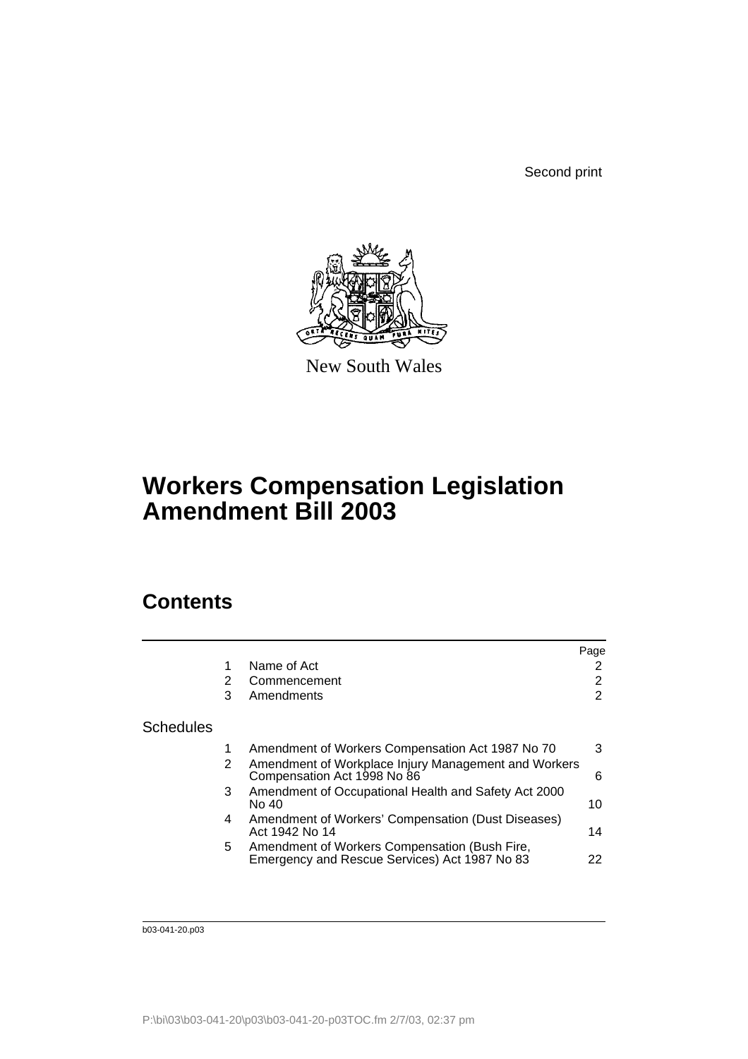Second print



New South Wales

# **Workers Compensation Legislation Amendment Bill 2003**

## **Contents**

| Name of Act                                                                                         | 2<br>2         |
|-----------------------------------------------------------------------------------------------------|----------------|
|                                                                                                     |                |
| 2<br>Commencement                                                                                   |                |
| Amendments<br>3                                                                                     | $\overline{2}$ |
| <b>Schedules</b>                                                                                    |                |
| Amendment of Workers Compensation Act 1987 No 70                                                    | 3              |
| Amendment of Workplace Injury Management and Workers<br>2<br>Compensation Act 1998 No 86            | 6              |
| Amendment of Occupational Health and Safety Act 2000<br>3<br>No 40                                  | 10             |
| Amendment of Workers' Compensation (Dust Diseases)<br>4<br>Act 1942 No 14                           | 14             |
| Amendment of Workers Compensation (Bush Fire,<br>5<br>Emergency and Rescue Services) Act 1987 No 83 | 22             |

b03-041-20.p03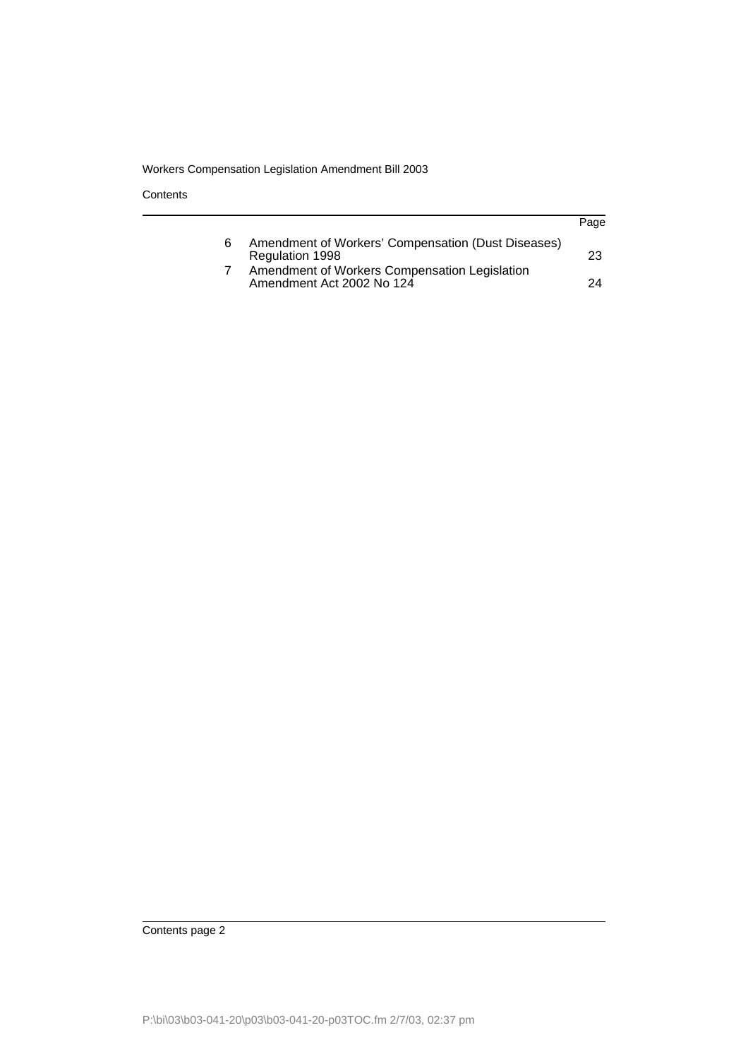**Contents** 

|   |                                                                            | Page |
|---|----------------------------------------------------------------------------|------|
| 6 | Amendment of Workers' Compensation (Dust Diseases)<br>Regulation 1998      | 23   |
|   | Amendment of Workers Compensation Legislation<br>Amendment Act 2002 No 124 | 24   |

Contents page 2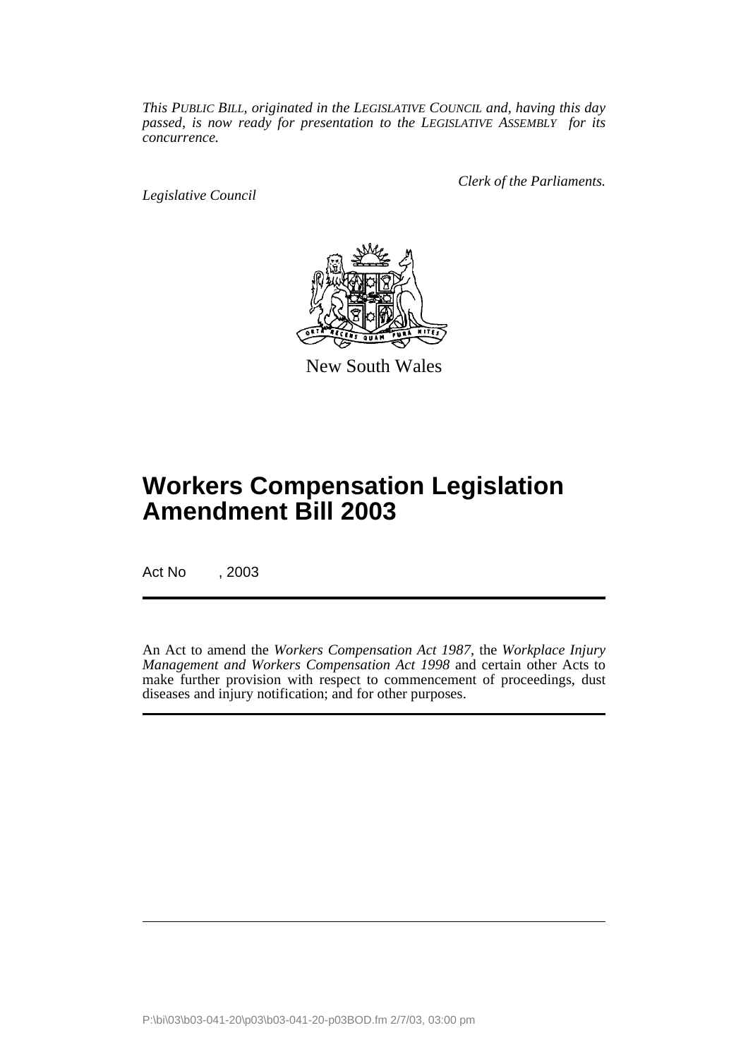*This PUBLIC BILL, originated in the LEGISLATIVE COUNCIL and, having this day passed, is now ready for presentation to the LEGISLATIVE ASSEMBLY for its concurrence.*

*Legislative Council*

*Clerk of the Parliaments.*



New South Wales

# **Workers Compensation Legislation Amendment Bill 2003**

Act No , 2003

An Act to amend the *Workers Compensation Act 1987*, the *Workplace Injury Management and Workers Compensation Act 1998* and certain other Acts to make further provision with respect to commencement of proceedings, dust diseases and injury notification; and for other purposes.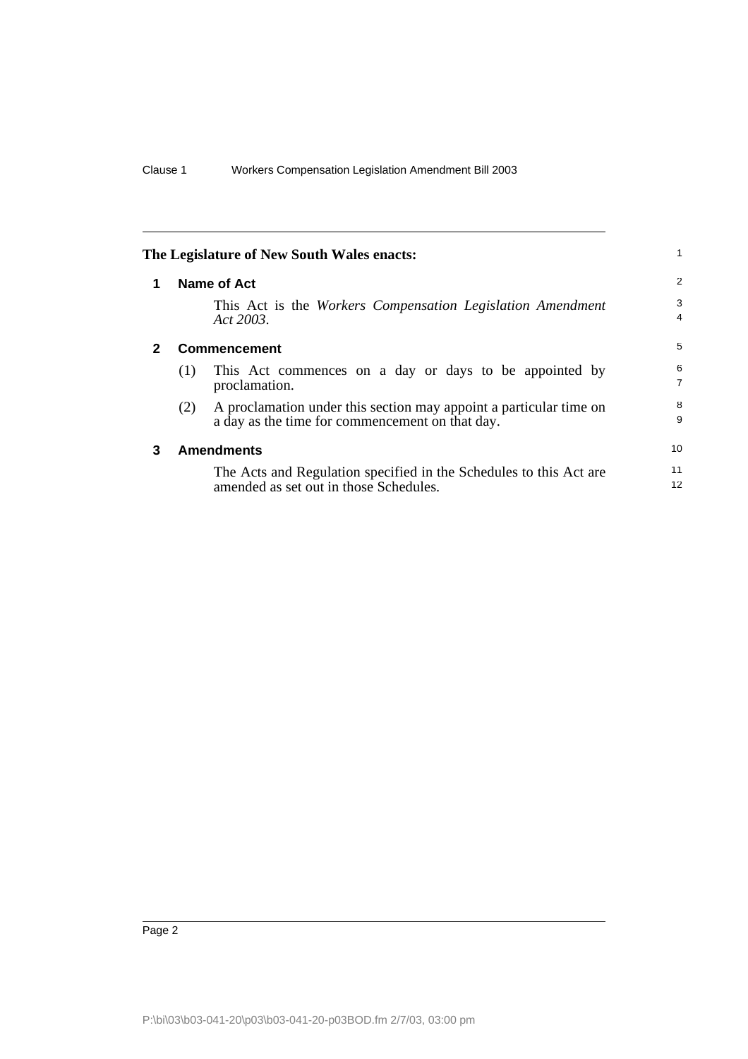<span id="page-3-2"></span><span id="page-3-1"></span><span id="page-3-0"></span>

| The Legislature of New South Wales enacts: |     |                                                                                                                       |                     |  |  |  |
|--------------------------------------------|-----|-----------------------------------------------------------------------------------------------------------------------|---------------------|--|--|--|
| 1                                          |     | Name of Act                                                                                                           | $\overline{2}$      |  |  |  |
|                                            |     | This Act is the Workers Compensation Legislation Amendment<br>Act 2003.                                               | 3<br>4              |  |  |  |
| $\mathbf{2}$                               |     | <b>Commencement</b>                                                                                                   | 5                   |  |  |  |
|                                            | (1) | This Act commences on a day or days to be appointed by<br>proclamation.                                               | 6<br>$\overline{7}$ |  |  |  |
|                                            | (2) | A proclamation under this section may appoint a particular time on<br>a day as the time for commencement on that day. | 8<br>9              |  |  |  |
| 3                                          |     | <b>Amendments</b>                                                                                                     | 10                  |  |  |  |
|                                            |     | The Acts and Regulation specified in the Schedules to this Act are<br>amended as set out in those Schedules.          | 11<br>12            |  |  |  |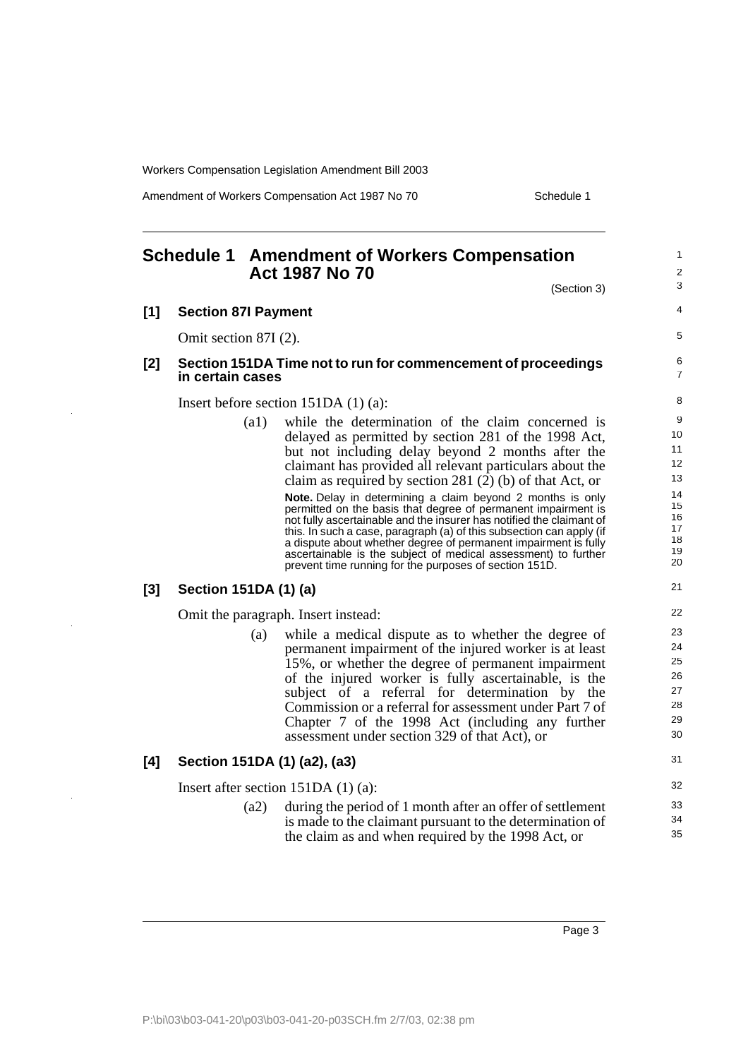Amendment of Workers Compensation Act 1987 No 70 Schedule 1

1 2

## **Schedule 1 Amendment of Workers Compensation Act 1987 No 70**

<span id="page-4-0"></span>

|       |                              | (Section 3)                                                                                                                                                                                                                                                                                                                                                                                                                                                                                                                                                                                                                                                                                                                                                            | 3                                                                   |
|-------|------------------------------|------------------------------------------------------------------------------------------------------------------------------------------------------------------------------------------------------------------------------------------------------------------------------------------------------------------------------------------------------------------------------------------------------------------------------------------------------------------------------------------------------------------------------------------------------------------------------------------------------------------------------------------------------------------------------------------------------------------------------------------------------------------------|---------------------------------------------------------------------|
| $[1]$ | <b>Section 87I Payment</b>   |                                                                                                                                                                                                                                                                                                                                                                                                                                                                                                                                                                                                                                                                                                                                                                        | 4                                                                   |
|       | Omit section 87I (2).        |                                                                                                                                                                                                                                                                                                                                                                                                                                                                                                                                                                                                                                                                                                                                                                        | 5                                                                   |
| [2]   | in certain cases             | Section 151DA Time not to run for commencement of proceedings                                                                                                                                                                                                                                                                                                                                                                                                                                                                                                                                                                                                                                                                                                          | 6<br>$\overline{7}$                                                 |
|       |                              | Insert before section $151DA(1)(a)$ :                                                                                                                                                                                                                                                                                                                                                                                                                                                                                                                                                                                                                                                                                                                                  | 8                                                                   |
|       | (a1)                         | while the determination of the claim concerned is<br>delayed as permitted by section 281 of the 1998 Act,<br>but not including delay beyond 2 months after the<br>claimant has provided all relevant particulars about the<br>claim as required by section 281 $(2)$ (b) of that Act, or<br>Note. Delay in determining a claim beyond 2 months is only<br>permitted on the basis that degree of permanent impairment is<br>not fully ascertainable and the insurer has notified the claimant of<br>this. In such a case, paragraph (a) of this subsection can apply (if<br>a dispute about whether degree of permanent impairment is fully<br>ascertainable is the subject of medical assessment) to further<br>prevent time running for the purposes of section 151D. | 9<br>10<br>11<br>12<br>13<br>14<br>15<br>16<br>17<br>18<br>19<br>20 |
| [3]   | Section 151DA (1) (a)        |                                                                                                                                                                                                                                                                                                                                                                                                                                                                                                                                                                                                                                                                                                                                                                        | 21                                                                  |
|       |                              | Omit the paragraph. Insert instead:                                                                                                                                                                                                                                                                                                                                                                                                                                                                                                                                                                                                                                                                                                                                    | 22                                                                  |
|       | (a)                          | while a medical dispute as to whether the degree of<br>permanent impairment of the injured worker is at least<br>15%, or whether the degree of permanent impairment<br>of the injured worker is fully ascertainable, is the<br>subject of a referral for determination by the<br>Commission or a referral for assessment under Part 7 of<br>Chapter 7 of the 1998 Act (including any further<br>assessment under section 329 of that Act), or                                                                                                                                                                                                                                                                                                                          | 23<br>24<br>25<br>26<br>27<br>28<br>29<br>30                        |
| [4]   | Section 151DA (1) (a2), (a3) |                                                                                                                                                                                                                                                                                                                                                                                                                                                                                                                                                                                                                                                                                                                                                                        | 31                                                                  |
|       |                              | Insert after section $151DA(1)(a)$ :                                                                                                                                                                                                                                                                                                                                                                                                                                                                                                                                                                                                                                                                                                                                   | 32                                                                  |
|       | (a2)                         | during the period of 1 month after an offer of settlement<br>is made to the claimant pursuant to the determination of<br>the claim as and when required by the 1998 Act, or                                                                                                                                                                                                                                                                                                                                                                                                                                                                                                                                                                                            | 33<br>34<br>35                                                      |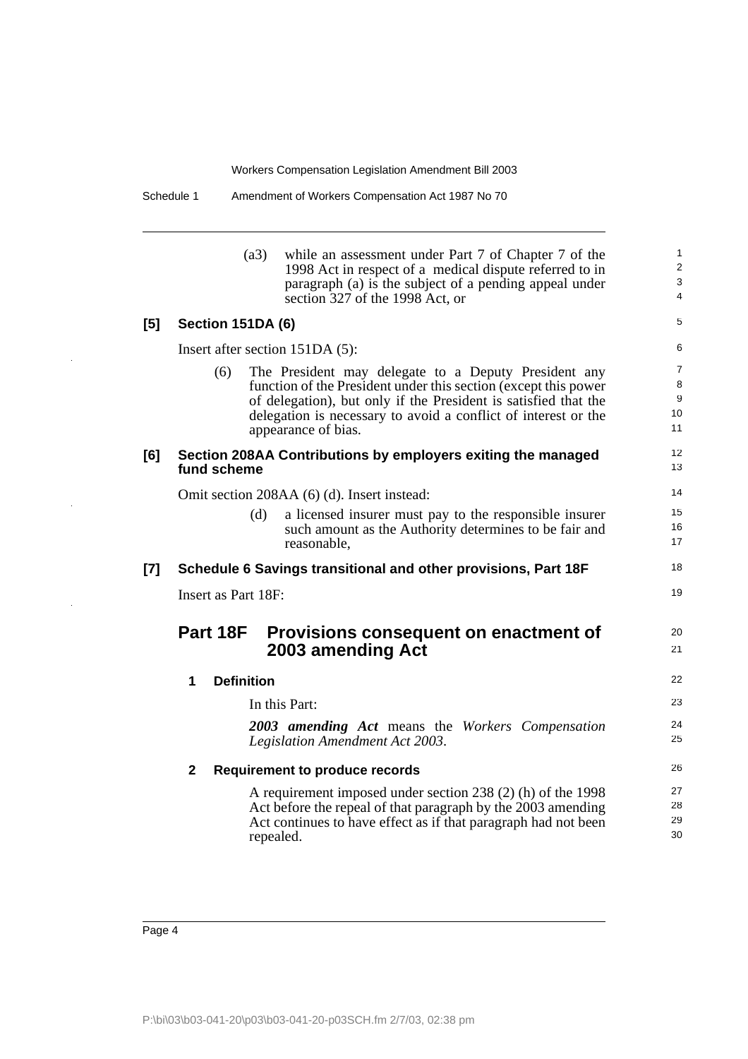|       |                     | (a3)              | while an assessment under Part 7 of Chapter 7 of the<br>1998 Act in respect of a medical dispute referred to in<br>paragraph (a) is the subject of a pending appeal under | $\mathbf{1}$<br>2<br>$\mathbf{3}$ |
|-------|---------------------|-------------------|---------------------------------------------------------------------------------------------------------------------------------------------------------------------------|-----------------------------------|
|       |                     |                   | section 327 of the 1998 Act, or                                                                                                                                           | $\overline{4}$                    |
| [5]   | Section 151DA (6)   |                   |                                                                                                                                                                           | 5                                 |
|       |                     |                   | Insert after section 151DA (5):                                                                                                                                           | 6                                 |
|       | (6)                 |                   | The President may delegate to a Deputy President any                                                                                                                      | $\overline{7}$                    |
|       |                     |                   | function of the President under this section (except this power                                                                                                           | 8                                 |
|       |                     |                   | of delegation), but only if the President is satisfied that the                                                                                                           | 9<br>10                           |
|       |                     |                   | delegation is necessary to avoid a conflict of interest or the<br>appearance of bias.                                                                                     | 11                                |
| [6]   |                     |                   | Section 208AA Contributions by employers exiting the managed                                                                                                              | 12                                |
|       | fund scheme         |                   |                                                                                                                                                                           | 13                                |
|       |                     |                   | Omit section 208AA (6) (d). Insert instead:                                                                                                                               | 14                                |
|       |                     | (d)               | a licensed insurer must pay to the responsible insurer                                                                                                                    | 15                                |
|       |                     |                   | such amount as the Authority determines to be fair and                                                                                                                    | 16<br>17                          |
|       |                     |                   | reasonable.                                                                                                                                                               |                                   |
| $[7]$ |                     |                   | Schedule 6 Savings transitional and other provisions, Part 18F                                                                                                            | 18                                |
|       | Insert as Part 18F: |                   |                                                                                                                                                                           | 19                                |
|       | Part 18F            |                   | Provisions consequent on enactment of                                                                                                                                     | 20                                |
|       |                     |                   | 2003 amending Act                                                                                                                                                         | 21                                |
|       | 1                   | <b>Definition</b> |                                                                                                                                                                           | 22                                |
|       |                     |                   | In this Part:                                                                                                                                                             | 23                                |
|       |                     |                   | 2003 amending Act means the Workers Compensation<br>Legislation Amendment Act 2003.                                                                                       | 24<br>25                          |
|       | $\mathbf{2}$        |                   | <b>Requirement to produce records</b>                                                                                                                                     | 26                                |
|       |                     |                   | A requirement imposed under section 238 (2) (h) of the 1998                                                                                                               | 27                                |
|       |                     |                   | Act before the repeal of that paragraph by the 2003 amending                                                                                                              | 28                                |
|       |                     | repealed.         | Act continues to have effect as if that paragraph had not been                                                                                                            | 29<br>30                          |

 $\overline{\phantom{a}}$ 

 $\ddot{\phantom{1}}$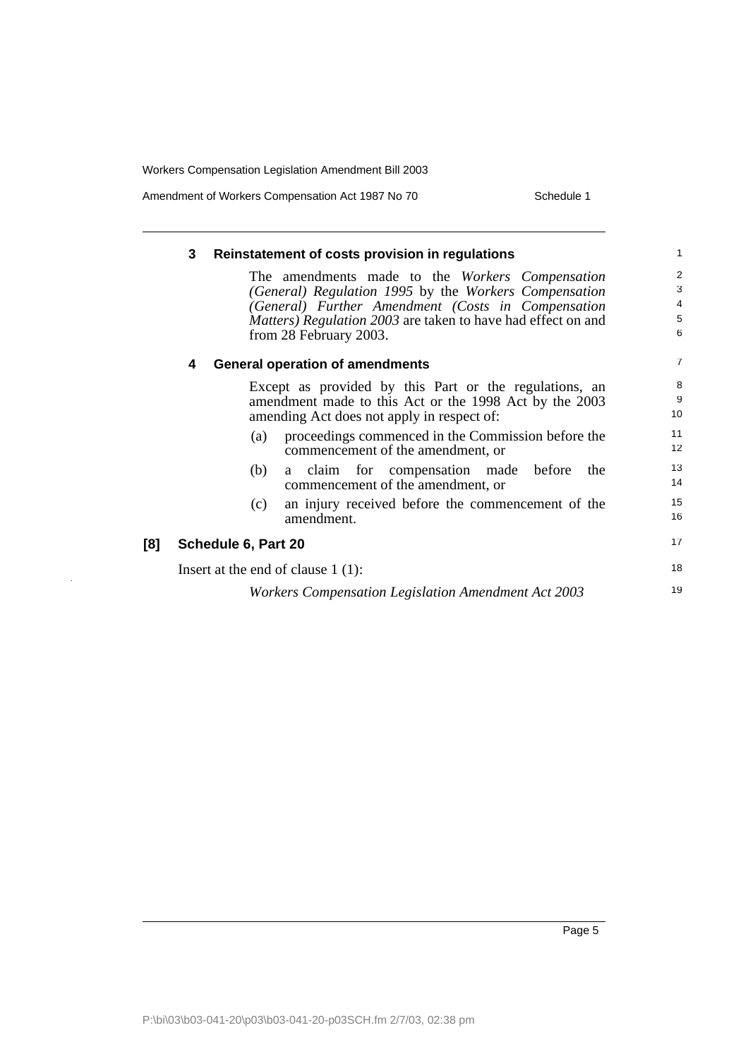Amendment of Workers Compensation Act 1987 No 70 Schedule 1

|     | 3 | Reinstatement of costs provision in regulations                             | 1              |
|-----|---|-----------------------------------------------------------------------------|----------------|
|     |   | The amendments made to the Workers Compensation                             | $\overline{2}$ |
|     |   | (General) Regulation 1995 by the Workers Compensation                       | 3              |
|     |   | (General) Further Amendment (Costs in Compensation                          | 4              |
|     |   | <i>Matters</i> ) <i>Regulation 2003</i> are taken to have had effect on and | 5              |
|     |   | from 28 February 2003.                                                      | 6              |
|     | 4 | <b>General operation of amendments</b>                                      | $\overline{7}$ |
|     |   | Except as provided by this Part or the regulations, an                      | 8              |
|     |   | amendment made to this Act or the 1998 Act by the 2003                      | 9              |
|     |   | amending Act does not apply in respect of:                                  | 10             |
|     |   | proceedings commenced in the Commission before the<br>(a)                   | 11             |
|     |   | commencement of the amendment, or                                           | 12             |
|     |   | a claim for compensation made before<br>the<br>(b)                          | 13             |
|     |   | commencement of the amendment, or                                           | 14             |
|     |   | an injury received before the commencement of the<br>(c)                    | 15             |
|     |   | amendment.                                                                  | 16             |
| [8] |   | Schedule 6, Part 20                                                         | 17             |
|     |   | Insert at the end of clause $1(1)$ :                                        | 18             |
|     |   | Workers Compensation Legislation Amendment Act 2003                         | 19             |
|     |   |                                                                             |                |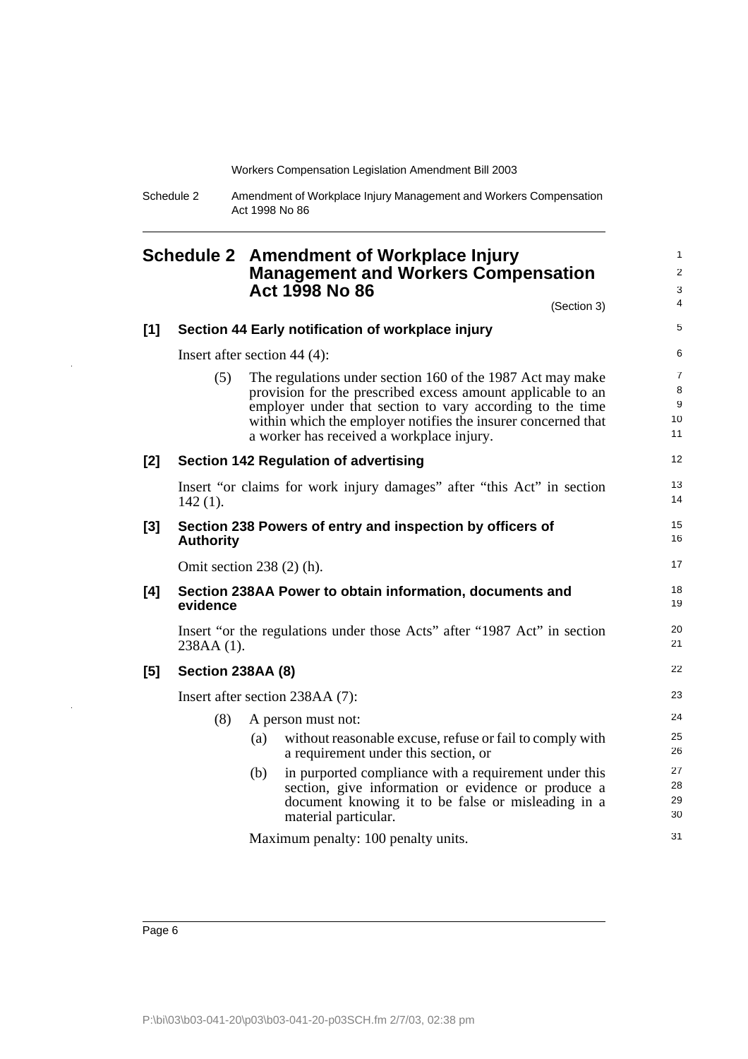Schedule 2 Amendment of Workplace Injury Management and Workers Compensation Act 1998 No 86

<span id="page-7-0"></span>

|       |                                 |     | <b>Schedule 2 Amendment of Workplace Injury</b><br><b>Management and Workers Compensation</b><br><b>Act 1998 No 86</b>                                                                                                                                                                               | $\mathbf{1}$<br>2<br>3<br>4                         |
|-------|---------------------------------|-----|------------------------------------------------------------------------------------------------------------------------------------------------------------------------------------------------------------------------------------------------------------------------------------------------------|-----------------------------------------------------|
|       |                                 |     | (Section 3)                                                                                                                                                                                                                                                                                          | 5                                                   |
| [1]   |                                 |     | Section 44 Early notification of workplace injury                                                                                                                                                                                                                                                    |                                                     |
|       | Insert after section 44 $(4)$ : |     |                                                                                                                                                                                                                                                                                                      | 6                                                   |
|       | (5)                             |     | The regulations under section 160 of the 1987 Act may make<br>provision for the prescribed excess amount applicable to an<br>employer under that section to vary according to the time<br>within which the employer notifies the insurer concerned that<br>a worker has received a workplace injury. | $\overline{7}$<br>8<br>$\boldsymbol{9}$<br>10<br>11 |
| [2]   |                                 |     | <b>Section 142 Regulation of advertising</b>                                                                                                                                                                                                                                                         | $12 \overline{ }$                                   |
|       | $142(1)$ .                      |     | Insert "or claims for work injury damages" after "this Act" in section                                                                                                                                                                                                                               | 13<br>14                                            |
| $[3]$ | <b>Authority</b>                |     | Section 238 Powers of entry and inspection by officers of                                                                                                                                                                                                                                            | 15<br>16                                            |
|       | Omit section $238(2)$ (h).      |     |                                                                                                                                                                                                                                                                                                      | 17                                                  |
| [4]   | evidence                        |     | Section 238AA Power to obtain information, documents and                                                                                                                                                                                                                                             | 18<br>19                                            |
|       | 238AA (1).                      |     | Insert "or the regulations under those Acts" after "1987 Act" in section                                                                                                                                                                                                                             | 20<br>21                                            |
| [5]   | Section 238AA (8)               |     |                                                                                                                                                                                                                                                                                                      | 22                                                  |
|       |                                 |     | Insert after section 238AA (7):                                                                                                                                                                                                                                                                      | 23                                                  |
|       | (8)                             |     | A person must not:                                                                                                                                                                                                                                                                                   | 24                                                  |
|       |                                 | (a) | without reasonable excuse, refuse or fail to comply with<br>a requirement under this section, or                                                                                                                                                                                                     | 25<br>26                                            |
|       |                                 | (b) | in purported compliance with a requirement under this<br>section, give information or evidence or produce a<br>document knowing it to be false or misleading in a<br>material particular.                                                                                                            | 27<br>28<br>29<br>30                                |
|       |                                 |     | $M$ avimum nenalty: $100$ nenalty unite                                                                                                                                                                                                                                                              | 31                                                  |

Maximum penalty: 100 penalty units.

l.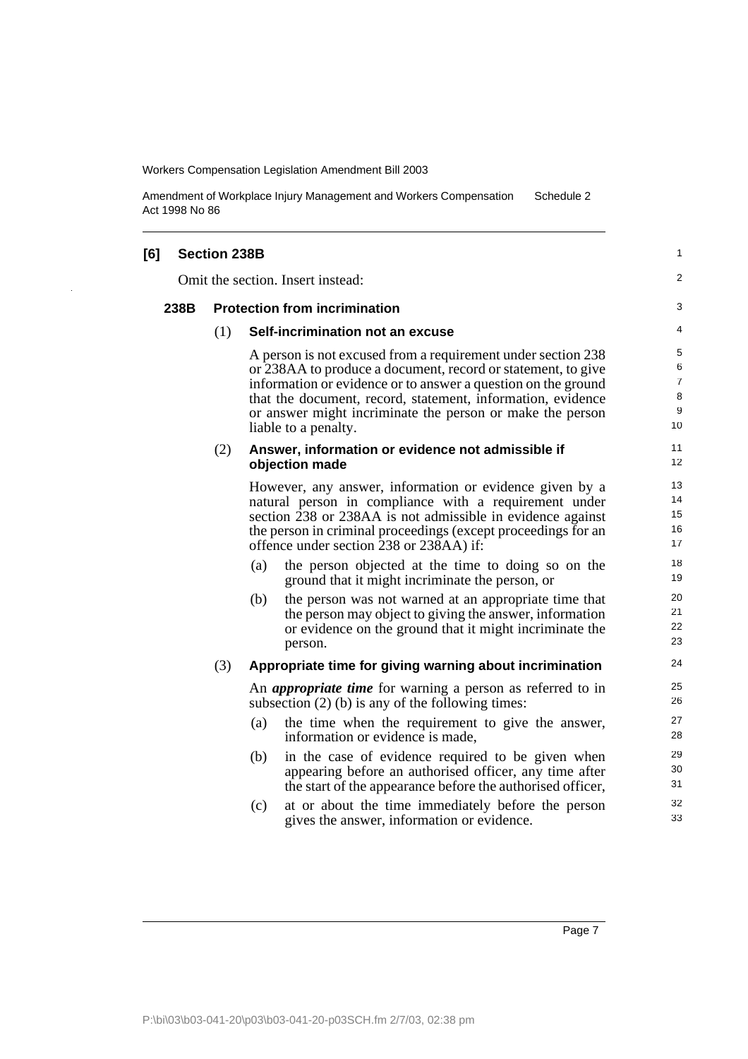Amendment of Workplace Injury Management and Workers Compensation Act 1998 No 86 Schedule 2

| [6] |      | <b>Section 238B</b> |                                                                                                                                                                                                                                                                                            |                                                                                                                                                                                                                                                                                                                                                   | 1                                |  |  |
|-----|------|---------------------|--------------------------------------------------------------------------------------------------------------------------------------------------------------------------------------------------------------------------------------------------------------------------------------------|---------------------------------------------------------------------------------------------------------------------------------------------------------------------------------------------------------------------------------------------------------------------------------------------------------------------------------------------------|----------------------------------|--|--|
|     |      |                     |                                                                                                                                                                                                                                                                                            | Omit the section. Insert instead:                                                                                                                                                                                                                                                                                                                 | 2                                |  |  |
|     | 238B |                     |                                                                                                                                                                                                                                                                                            | <b>Protection from incrimination</b>                                                                                                                                                                                                                                                                                                              | 3                                |  |  |
|     |      | (1)                 |                                                                                                                                                                                                                                                                                            | Self-incrimination not an excuse                                                                                                                                                                                                                                                                                                                  | 4                                |  |  |
|     |      |                     |                                                                                                                                                                                                                                                                                            | A person is not excused from a requirement under section 238<br>or 238AA to produce a document, record or statement, to give<br>information or evidence or to answer a question on the ground<br>that the document, record, statement, information, evidence<br>or answer might incriminate the person or make the person<br>liable to a penalty. | 5<br>6<br>7<br>$\bf8$<br>9<br>10 |  |  |
|     |      | (2)                 |                                                                                                                                                                                                                                                                                            | Answer, information or evidence not admissible if<br>objection made                                                                                                                                                                                                                                                                               | 11<br>12                         |  |  |
|     |      |                     | However, any answer, information or evidence given by a<br>natural person in compliance with a requirement under<br>section 238 or 238AA is not admissible in evidence against<br>the person in criminal proceedings (except proceedings for an<br>offence under section 238 or 238AA) if: |                                                                                                                                                                                                                                                                                                                                                   |                                  |  |  |
|     |      |                     | (a)                                                                                                                                                                                                                                                                                        | the person objected at the time to doing so on the<br>ground that it might incriminate the person, or                                                                                                                                                                                                                                             | 18<br>19                         |  |  |
|     |      |                     | (b)                                                                                                                                                                                                                                                                                        | the person was not warned at an appropriate time that<br>the person may object to giving the answer, information<br>or evidence on the ground that it might incriminate the<br>person.                                                                                                                                                            | 20<br>21<br>22<br>23             |  |  |
|     |      | (3)                 |                                                                                                                                                                                                                                                                                            | Appropriate time for giving warning about incrimination                                                                                                                                                                                                                                                                                           | 24                               |  |  |
|     |      |                     |                                                                                                                                                                                                                                                                                            | An <i>appropriate time</i> for warning a person as referred to in<br>subsection $(2)$ (b) is any of the following times:                                                                                                                                                                                                                          | 25<br>26                         |  |  |
|     |      |                     | (a)                                                                                                                                                                                                                                                                                        | the time when the requirement to give the answer,<br>information or evidence is made,                                                                                                                                                                                                                                                             | 27<br>28                         |  |  |
|     |      |                     | (b)                                                                                                                                                                                                                                                                                        | in the case of evidence required to be given when<br>appearing before an authorised officer, any time after<br>the start of the appearance before the authorised officer,                                                                                                                                                                         | 29<br>30<br>31                   |  |  |
|     |      |                     | (c)                                                                                                                                                                                                                                                                                        | at or about the time immediately before the person<br>gives the answer, information or evidence.                                                                                                                                                                                                                                                  | 32<br>33                         |  |  |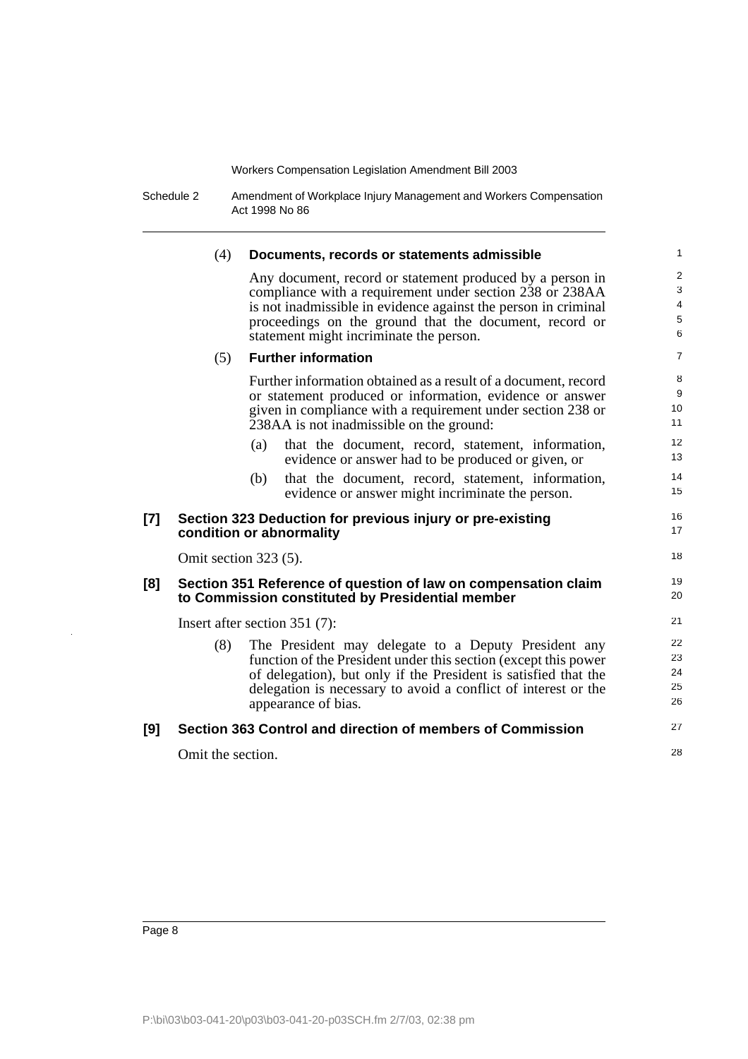Schedule 2 Amendment of Workplace Injury Management and Workers Compensation Act 1998 No 86

|       | (4)                   | Documents, records or statements admissible                                                                                                                                                                                                                                                  | $\mathbf{1}$                                     |
|-------|-----------------------|----------------------------------------------------------------------------------------------------------------------------------------------------------------------------------------------------------------------------------------------------------------------------------------------|--------------------------------------------------|
|       |                       | Any document, record or statement produced by a person in<br>compliance with a requirement under section 238 or 238AA<br>is not inadmissible in evidence against the person in criminal<br>proceedings on the ground that the document, record or<br>statement might incriminate the person. | 2<br>3<br>$\overline{4}$<br>$\,$ 5 $\,$<br>$\,6$ |
|       | (5)                   | <b>Further information</b>                                                                                                                                                                                                                                                                   | $\overline{7}$                                   |
|       |                       | Further information obtained as a result of a document, record<br>or statement produced or information, evidence or answer<br>given in compliance with a requirement under section 238 or<br>238AA is not inadmissible on the ground:                                                        | 8<br>9<br>10<br>11                               |
|       |                       | (a)<br>that the document, record, statement, information,<br>evidence or answer had to be produced or given, or                                                                                                                                                                              | 12<br>13                                         |
|       |                       | that the document, record, statement, information,<br>(b)<br>evidence or answer might incriminate the person.                                                                                                                                                                                | 14<br>15                                         |
| $[7]$ |                       | Section 323 Deduction for previous injury or pre-existing<br>condition or abnormality                                                                                                                                                                                                        | 16<br>17                                         |
|       | Omit section 323 (5). |                                                                                                                                                                                                                                                                                              | 18                                               |
| [8]   |                       | Section 351 Reference of question of law on compensation claim<br>to Commission constituted by Presidential member                                                                                                                                                                           | 19<br>20                                         |
|       |                       | Insert after section $351(7)$ :                                                                                                                                                                                                                                                              | 21                                               |
|       | (8)                   | The President may delegate to a Deputy President any<br>function of the President under this section (except this power<br>of delegation), but only if the President is satisfied that the<br>delegation is necessary to avoid a conflict of interest or the<br>appearance of bias.          | 22<br>23<br>24<br>25<br>26                       |
| [9]   |                       | Section 363 Control and direction of members of Commission                                                                                                                                                                                                                                   | 27                                               |
|       | Omit the section.     |                                                                                                                                                                                                                                                                                              | 28                                               |
|       |                       |                                                                                                                                                                                                                                                                                              |                                                  |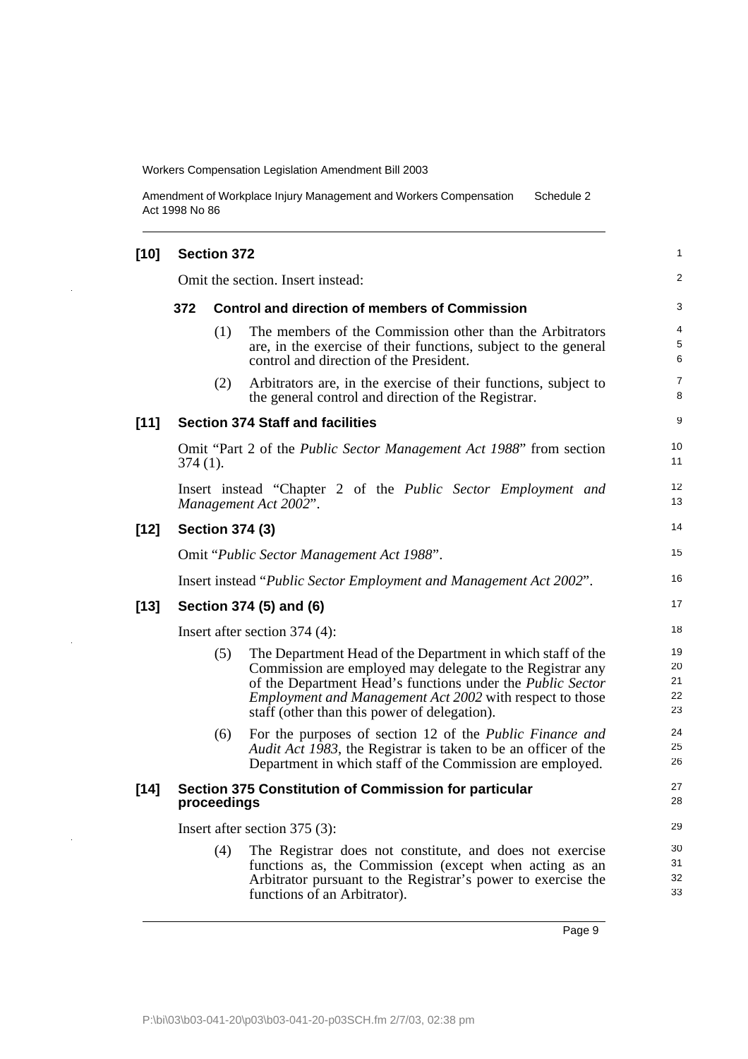l.

 $\bar{z}$ 

Amendment of Workplace Injury Management and Workers Compensation Act 1998 No 86 Schedule 2

| $[10]$ | <b>Section 372</b> |             |                                                                                                                                                                                                                                                                                                                  |                            |  |  |
|--------|--------------------|-------------|------------------------------------------------------------------------------------------------------------------------------------------------------------------------------------------------------------------------------------------------------------------------------------------------------------------|----------------------------|--|--|
|        |                    |             | Omit the section. Insert instead:                                                                                                                                                                                                                                                                                | 2                          |  |  |
|        | 372                |             | <b>Control and direction of members of Commission</b>                                                                                                                                                                                                                                                            | 3                          |  |  |
|        |                    | (1)         | The members of the Commission other than the Arbitrators<br>are, in the exercise of their functions, subject to the general<br>control and direction of the President.                                                                                                                                           | 4<br>5<br>6                |  |  |
|        |                    | (2)         | Arbitrators are, in the exercise of their functions, subject to<br>the general control and direction of the Registrar.                                                                                                                                                                                           | 7<br>8                     |  |  |
| $[11]$ |                    |             | <b>Section 374 Staff and facilities</b>                                                                                                                                                                                                                                                                          | 9                          |  |  |
|        | $374(1)$ .         |             | Omit "Part 2 of the <i>Public Sector Management Act 1988</i> " from section                                                                                                                                                                                                                                      | 10<br>11                   |  |  |
|        |                    |             | Insert instead "Chapter 2 of the <i>Public Sector Employment and</i><br>Management Act 2002".                                                                                                                                                                                                                    | 12<br>13                   |  |  |
| $[12]$ |                    |             | <b>Section 374 (3)</b>                                                                                                                                                                                                                                                                                           | 14                         |  |  |
|        |                    |             | Omit "Public Sector Management Act 1988".                                                                                                                                                                                                                                                                        | 15                         |  |  |
|        |                    |             | Insert instead "Public Sector Employment and Management Act 2002".                                                                                                                                                                                                                                               | 16                         |  |  |
| $[13]$ |                    |             | Section 374 (5) and (6)                                                                                                                                                                                                                                                                                          | 17                         |  |  |
|        |                    |             | Insert after section $374(4)$ :                                                                                                                                                                                                                                                                                  | 18                         |  |  |
|        |                    | (5)         | The Department Head of the Department in which staff of the<br>Commission are employed may delegate to the Registrar any<br>of the Department Head's functions under the <i>Public Sector</i><br><i>Employment and Management Act 2002</i> with respect to those<br>staff (other than this power of delegation). | 19<br>20<br>21<br>22<br>23 |  |  |
|        |                    | (6)         | For the purposes of section 12 of the <i>Public Finance and</i><br>Audit Act 1983, the Registrar is taken to be an officer of the<br>Department in which staff of the Commission are employed.                                                                                                                   | 24<br>25<br>26             |  |  |
| [14]   |                    | proceedings | Section 375 Constitution of Commission for particular                                                                                                                                                                                                                                                            | 27<br>28                   |  |  |
|        |                    |             | Insert after section 375 (3):                                                                                                                                                                                                                                                                                    | 29                         |  |  |
|        |                    | (4)         | The Registrar does not constitute, and does not exercise<br>functions as, the Commission (except when acting as an<br>Arbitrator pursuant to the Registrar's power to exercise the<br>functions of an Arbitrator).                                                                                               | 30<br>31<br>32<br>33       |  |  |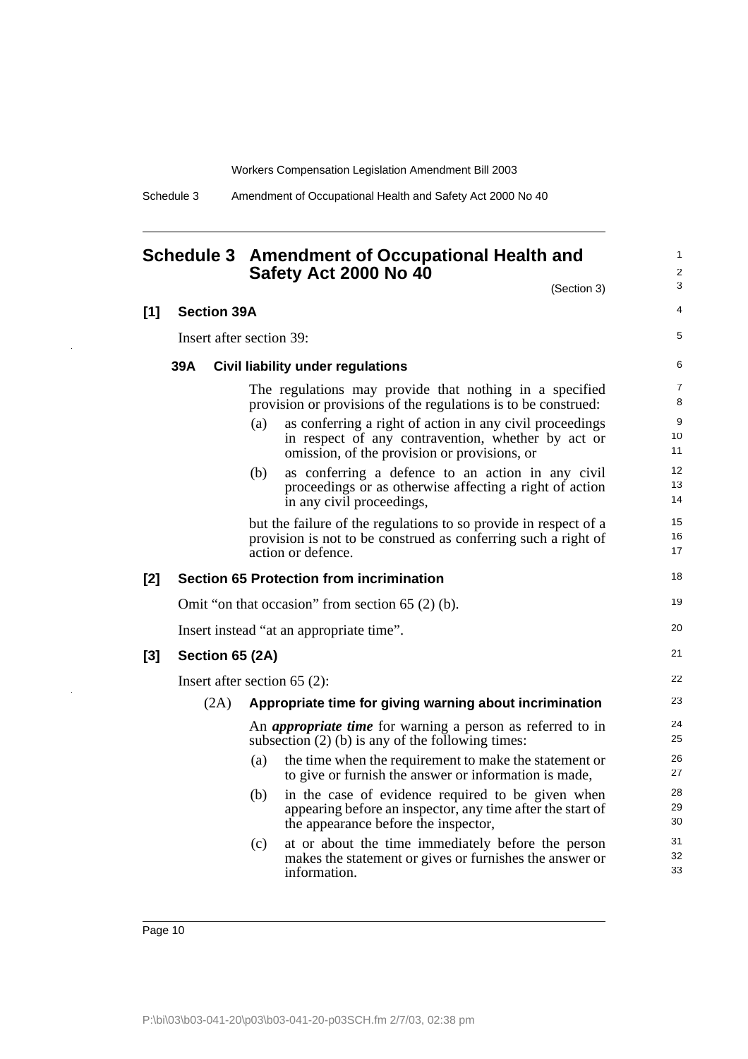Schedule 3 Amendment of Occupational Health and Safety Act 2000 No 40

### <span id="page-11-0"></span>**Schedule 3 Amendment of Occupational Health and Safety Act 2000 No 40**

1 2

|     |     |                          |     | (Section 3)                                                                                                                                                    | 3              |
|-----|-----|--------------------------|-----|----------------------------------------------------------------------------------------------------------------------------------------------------------------|----------------|
| [1] |     | <b>Section 39A</b>       |     |                                                                                                                                                                | 4              |
|     |     | Insert after section 39: |     |                                                                                                                                                                | 5              |
|     | 39A |                          |     | Civil liability under regulations                                                                                                                              | 6              |
|     |     |                          |     | The regulations may provide that nothing in a specified<br>provision or provisions of the regulations is to be construed:                                      | 7<br>8         |
|     |     |                          | (a) | as conferring a right of action in any civil proceedings<br>in respect of any contravention, whether by act or<br>omission, of the provision or provisions, or | 9<br>10<br>11  |
|     |     |                          | (b) | as conferring a defence to an action in any civil<br>proceedings or as otherwise affecting a right of action<br>in any civil proceedings,                      | 12<br>13<br>14 |
|     |     |                          |     | but the failure of the regulations to so provide in respect of a<br>provision is not to be construed as conferring such a right of<br>action or defence.       | 15<br>16<br>17 |
| [2] |     |                          |     | <b>Section 65 Protection from incrimination</b>                                                                                                                | 18             |
|     |     |                          |     | Omit "on that occasion" from section $65(2)$ (b).                                                                                                              | 19             |
|     |     |                          |     | Insert instead "at an appropriate time".                                                                                                                       | 20             |
| [3] |     | Section 65 (2A)          |     |                                                                                                                                                                | 21             |
|     |     |                          |     | Insert after section $65$ (2):                                                                                                                                 | 22             |
|     |     | (2A)                     |     | Appropriate time for giving warning about incrimination                                                                                                        | 23             |
|     |     |                          |     | An <i>appropriate time</i> for warning a person as referred to in<br>subsection $(2)$ (b) is any of the following times:                                       | 24<br>25       |
|     |     |                          | (a) | the time when the requirement to make the statement or<br>to give or furnish the answer or information is made,                                                | 26<br>27       |
|     |     |                          | (b) | in the case of evidence required to be given when<br>appearing before an inspector, any time after the start of<br>the appearance before the inspector,        | 28<br>29<br>30 |
|     |     |                          | (c) | at or about the time immediately before the person<br>makes the statement or gives or furnishes the answer or<br>information.                                  | 31<br>32<br>33 |
|     |     |                          |     |                                                                                                                                                                |                |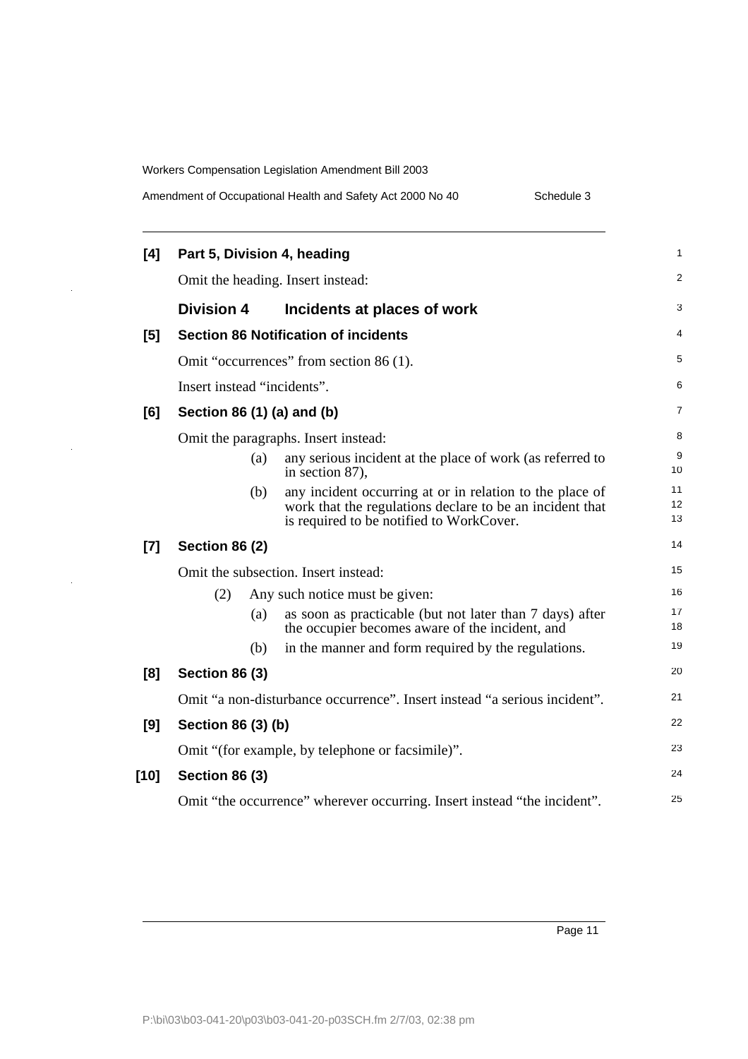l,

 $\hat{\boldsymbol{\gamma}}$ 

 $\frac{1}{2}$ 

| Amendment of Occupational Health and Safety Act 2000 No 40 |  |  |
|------------------------------------------------------------|--|--|
|                                                            |  |  |

Schedule 3

| [4]    |                                                                          |     | Part 5, Division 4, heading                                                                                                                                      | 1              |
|--------|--------------------------------------------------------------------------|-----|------------------------------------------------------------------------------------------------------------------------------------------------------------------|----------------|
|        | Omit the heading. Insert instead:                                        |     |                                                                                                                                                                  | $\overline{2}$ |
|        | <b>Division 4</b>                                                        |     | Incidents at places of work                                                                                                                                      | 3              |
| [5]    |                                                                          |     | <b>Section 86 Notification of incidents</b>                                                                                                                      | 4              |
|        |                                                                          |     | Omit "occurrences" from section 86 (1).                                                                                                                          | 5              |
|        | Insert instead "incidents".                                              |     |                                                                                                                                                                  | 6              |
| [6]    | Section 86 (1) (a) and (b)                                               |     |                                                                                                                                                                  | 7              |
|        |                                                                          |     | Omit the paragraphs. Insert instead:                                                                                                                             | 8              |
|        |                                                                          | (a) | any serious incident at the place of work (as referred to<br>in section 87),                                                                                     | 9<br>10        |
|        |                                                                          | (b) | any incident occurring at or in relation to the place of<br>work that the regulations declare to be an incident that<br>is required to be notified to WorkCover. | 11<br>12<br>13 |
| $[7]$  | <b>Section 86 (2)</b>                                                    |     |                                                                                                                                                                  | 14             |
|        |                                                                          |     | Omit the subsection. Insert instead:                                                                                                                             | 15             |
|        | (2)                                                                      |     | Any such notice must be given:                                                                                                                                   | 16             |
|        |                                                                          | (a) | as soon as practicable (but not later than 7 days) after<br>the occupier becomes aware of the incident, and                                                      | 17<br>18       |
|        |                                                                          | (b) | in the manner and form required by the regulations.                                                                                                              | 19             |
| [8]    | <b>Section 86 (3)</b>                                                    |     |                                                                                                                                                                  | 20             |
|        |                                                                          |     | Omit "a non-disturbance occurrence". Insert instead "a serious incident".                                                                                        | 21             |
| [9]    | Section 86 (3) (b)                                                       |     |                                                                                                                                                                  | 22             |
|        |                                                                          |     | Omit "(for example, by telephone or facsimile)".                                                                                                                 | 23             |
| $[10]$ | <b>Section 86 (3)</b>                                                    |     |                                                                                                                                                                  | 24             |
|        | Omit "the occurrence" wherever occurring. Insert instead "the incident". |     |                                                                                                                                                                  | 25             |
|        |                                                                          |     |                                                                                                                                                                  |                |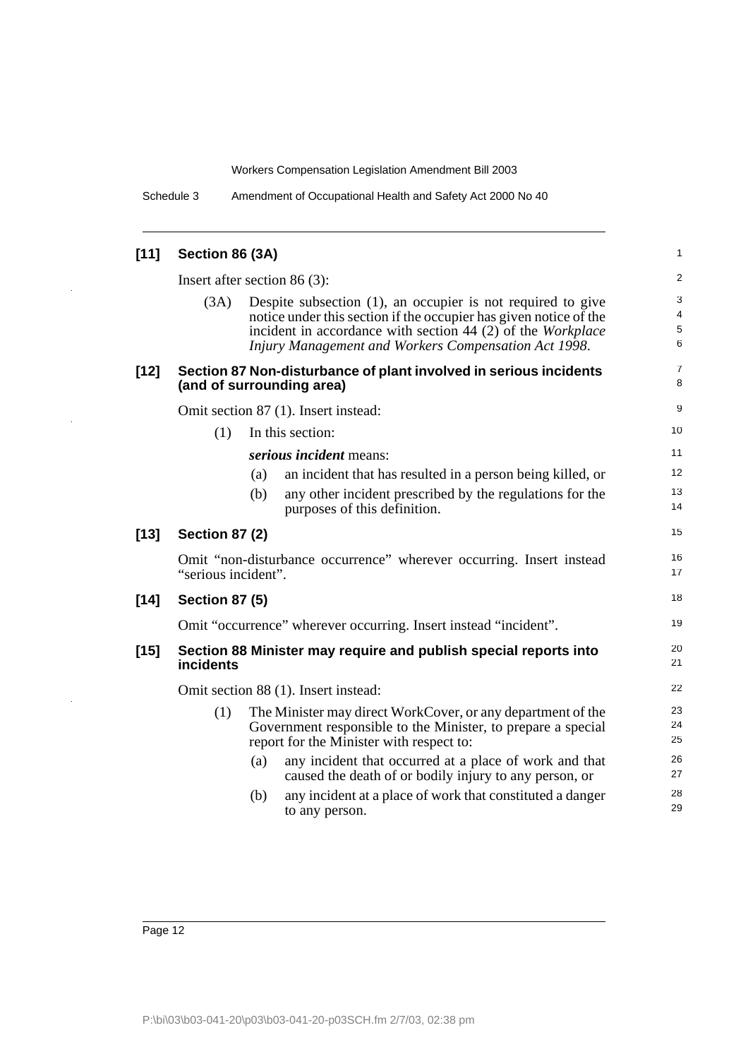Schedule 3 Amendment of Occupational Health and Safety Act 2000 No 40

| $[11]$ | Section 86 (3A)                      |                                                                                                                                                                                                                                                         | 1                |
|--------|--------------------------------------|---------------------------------------------------------------------------------------------------------------------------------------------------------------------------------------------------------------------------------------------------------|------------------|
|        | Insert after section 86 $(3)$ :      |                                                                                                                                                                                                                                                         |                  |
|        | (3A)                                 | Despite subsection (1), an occupier is not required to give<br>notice under this section if the occupier has given notice of the<br>incident in accordance with section 44 (2) of the Workplace<br>Injury Management and Workers Compensation Act 1998. | 3<br>4<br>5<br>6 |
| $[12]$ |                                      | Section 87 Non-disturbance of plant involved in serious incidents<br>(and of surrounding area)                                                                                                                                                          | 7<br>8           |
|        |                                      | Omit section 87 (1). Insert instead:                                                                                                                                                                                                                    | 9                |
|        | (1)                                  | In this section:                                                                                                                                                                                                                                        | 10               |
|        |                                      | serious incident means:                                                                                                                                                                                                                                 | 11               |
|        |                                      | an incident that has resulted in a person being killed, or<br>(a)                                                                                                                                                                                       | 12               |
|        |                                      | any other incident prescribed by the regulations for the<br>(b)<br>purposes of this definition.                                                                                                                                                         | 13<br>14         |
| $[13]$ | <b>Section 87 (2)</b>                |                                                                                                                                                                                                                                                         | 15               |
|        | "serious incident".                  | Omit "non-disturbance occurrence" wherever occurring. Insert instead                                                                                                                                                                                    | 16<br>17         |
| $[14]$ | <b>Section 87 (5)</b>                |                                                                                                                                                                                                                                                         | 18               |
|        |                                      | Omit "occurrence" wherever occurring. Insert instead "incident".                                                                                                                                                                                        | 19               |
| $[15]$ | incidents                            | Section 88 Minister may require and publish special reports into                                                                                                                                                                                        | 20<br>21         |
|        | Omit section 88 (1). Insert instead: |                                                                                                                                                                                                                                                         |                  |
|        | (1)                                  | The Minister may direct WorkCover, or any department of the<br>Government responsible to the Minister, to prepare a special<br>report for the Minister with respect to:                                                                                 | 23<br>24<br>25   |
|        |                                      | any incident that occurred at a place of work and that<br>(a)<br>caused the death of or bodily injury to any person, or                                                                                                                                 | 26<br>27         |
|        |                                      | any incident at a place of work that constituted a danger<br>(b)<br>to any person.                                                                                                                                                                      | 28<br>29         |
|        |                                      |                                                                                                                                                                                                                                                         |                  |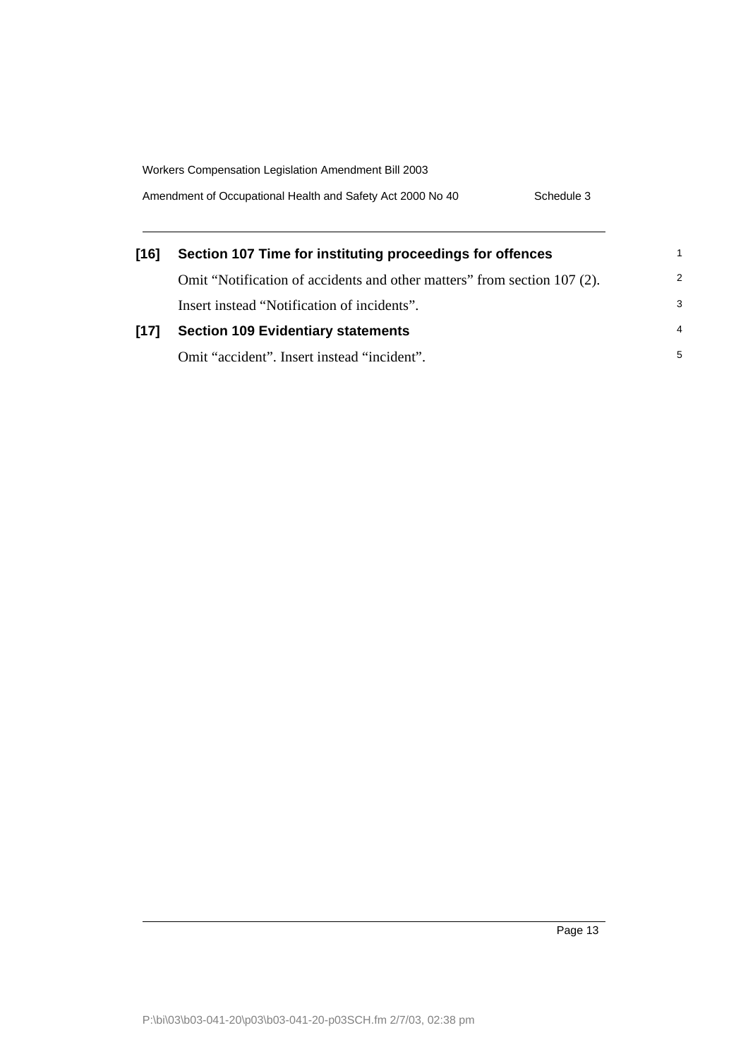Amendment of Occupational Health and Safety Act 2000 No 40 Schedule 3

| [16] | Section 107 Time for instituting proceedings for offences                |                |
|------|--------------------------------------------------------------------------|----------------|
|      | Omit "Notification of accidents and other matters" from section 107 (2). | 2              |
|      | Insert instead "Notification of incidents".                              | 3              |
| [17] | <b>Section 109 Evidentiary statements</b>                                | $\overline{4}$ |
|      | Omit "accident". Insert instead "incident".                              | 5              |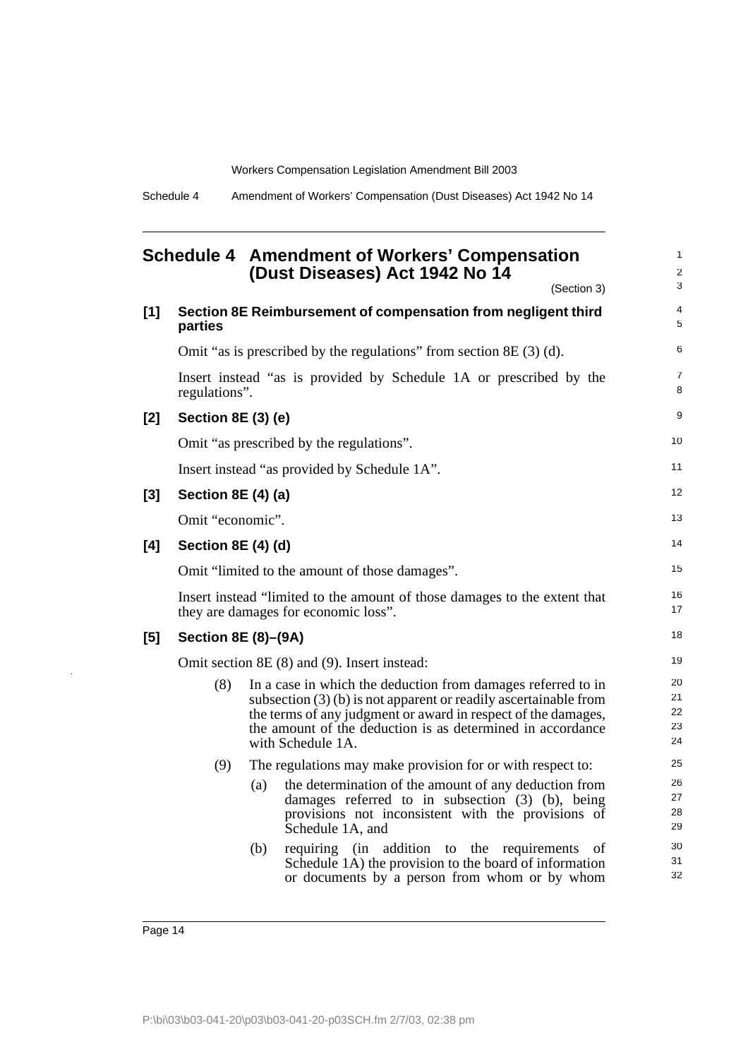<span id="page-15-0"></span>

|       |                            |     | <b>Schedule 4 Amendment of Workers' Compensation</b><br>(Dust Diseases) Act 1942 No 14<br>(Section 3)                                                                                                                                                                                  | 1<br>2<br>3                |
|-------|----------------------------|-----|----------------------------------------------------------------------------------------------------------------------------------------------------------------------------------------------------------------------------------------------------------------------------------------|----------------------------|
| $[1]$ | parties                    |     | Section 8E Reimbursement of compensation from negligent third                                                                                                                                                                                                                          | $\overline{4}$<br>5        |
|       |                            |     | Omit "as is prescribed by the regulations" from section $8E(3)(d)$ .                                                                                                                                                                                                                   | 6                          |
|       | regulations".              |     | Insert instead "as is provided by Schedule 1A or prescribed by the                                                                                                                                                                                                                     | $\overline{7}$<br>8        |
| $[2]$ | Section 8E (3) (e)         |     |                                                                                                                                                                                                                                                                                        | 9                          |
|       |                            |     | Omit "as prescribed by the regulations".                                                                                                                                                                                                                                               | 10                         |
|       |                            |     | Insert instead "as provided by Schedule 1A".                                                                                                                                                                                                                                           | 11                         |
| $[3]$ | <b>Section 8E (4) (a)</b>  |     |                                                                                                                                                                                                                                                                                        | 12                         |
|       | Omit "economic".           |     |                                                                                                                                                                                                                                                                                        | 13                         |
| [4]   | Section 8E (4) (d)         |     |                                                                                                                                                                                                                                                                                        | 14                         |
|       |                            |     | Omit "limited to the amount of those damages".                                                                                                                                                                                                                                         | 15                         |
|       |                            |     | Insert instead "limited to the amount of those damages to the extent that<br>they are damages for economic loss".                                                                                                                                                                      | 16<br>17                   |
| $[5]$ | <b>Section 8E (8)–(9A)</b> |     |                                                                                                                                                                                                                                                                                        | 18                         |
|       |                            |     | Omit section 8E (8) and (9). Insert instead:                                                                                                                                                                                                                                           | 19                         |
|       | (8)                        |     | In a case in which the deduction from damages referred to in<br>subsection $(3)$ (b) is not apparent or readily ascertainable from<br>the terms of any judgment or award in respect of the damages,<br>the amount of the deduction is as determined in accordance<br>with Schedule 1A. | 20<br>21<br>22<br>23<br>24 |
|       | (9)                        |     | The regulations may make provision for or with respect to:                                                                                                                                                                                                                             | 25                         |
|       |                            | (a) | the determination of the amount of any deduction from<br>damages referred to in subsection (3) (b), being<br>provisions not inconsistent with the provisions of<br>Schedule 1A, and                                                                                                    | 26<br>27<br>28<br>29       |
|       |                            | (b) | requiring (in addition to the requirements<br>οf<br>Schedule 1A) the provision to the board of information<br>or documents by a person from whom or by whom                                                                                                                            | 30<br>31<br>32             |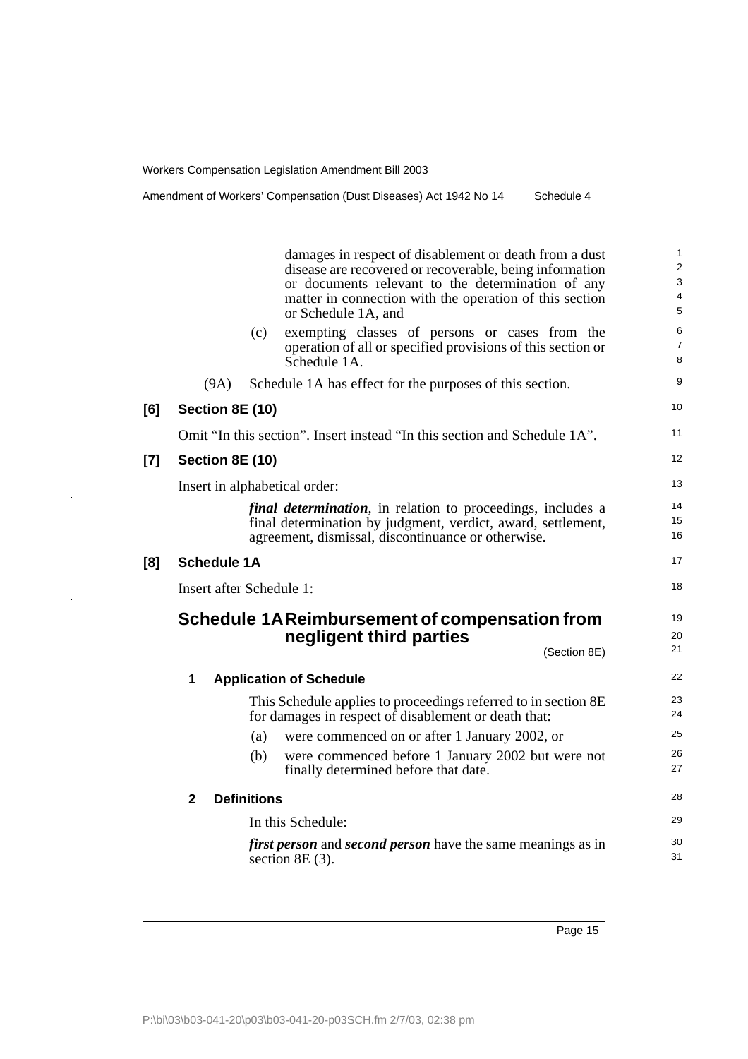damages in respect of disablement or death from a dust disease are recovered or recoverable, being information or documents relevant to the determination of any matter in connection with the operation of this section or Schedule 1A, and (c) exempting classes of persons or cases from the operation of all or specified provisions of this section or Schedule 1A. (9A) Schedule 1A has effect for the purposes of this section. **[6] Section 8E (10)** Omit "In this section". Insert instead "In this section and Schedule 1A". **[7] Section 8E (10)** Insert in alphabetical order: *final determination*, in relation to proceedings, includes a final determination by judgment, verdict, award, settlement, agreement, dismissal, discontinuance or otherwise. **[8] Schedule 1A** Insert after Schedule 1: **Schedule 1AReimbursement of compensation from negligent third parties** (Section 8E) **1 Application of Schedule** This Schedule applies to proceedings referred to in section 8E for damages in respect of disablement or death that: (a) were commenced on or after 1 January 2002, or (b) were commenced before 1 January 2002 but were not finally determined before that date. **2 Definitions** In this Schedule: *first person* and *second person* have the same meanings as in section 8E (3). 1  $\overline{2}$ 3 4 5 6 7 8  $\mathsf{o}$ 10 11 12 13 14 15 16 17 18 19 20 21 22 23 24 25 26 27 28 29 30 31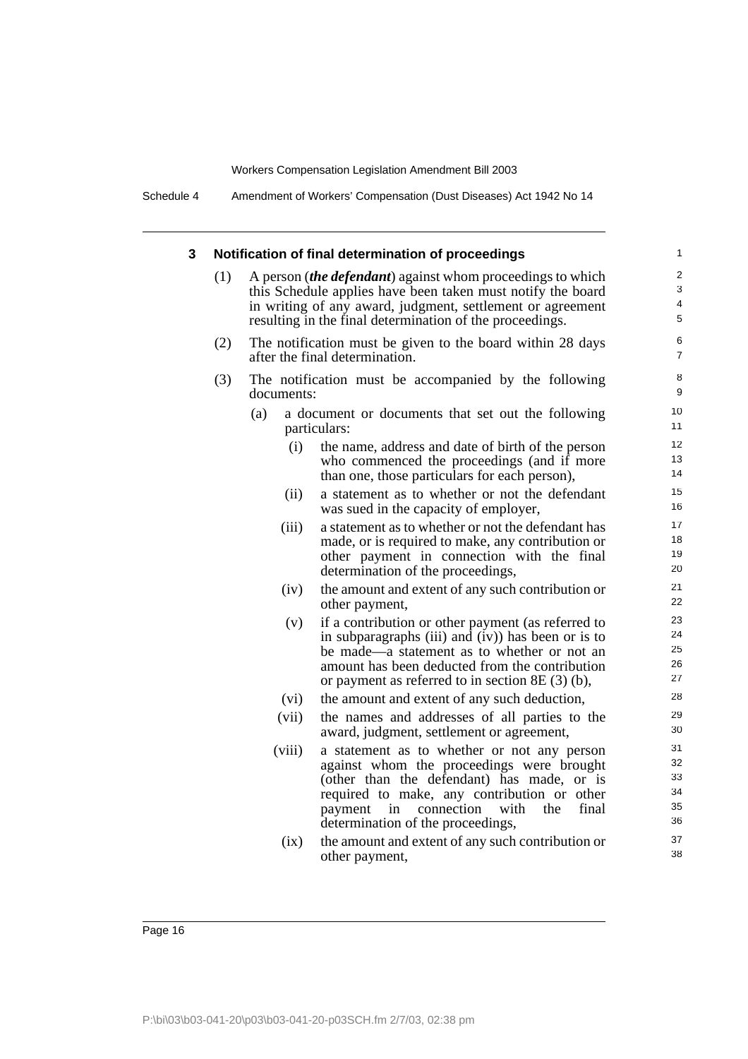Schedule 4 Amendment of Workers' Compensation (Dust Diseases) Act 1942 No 14

#### **3 Notification of final determination of proceedings** (1) A person (*the defendant*) against whom proceedings to which this Schedule applies have been taken must notify the board in writing of any award, judgment, settlement or agreement resulting in the final determination of the proceedings. (2) The notification must be given to the board within 28 days after the final determination. (3) The notification must be accompanied by the following documents: (a) a document or documents that set out the following particulars: (i) the name, address and date of birth of the person who commenced the proceedings (and if more than one, those particulars for each person), (ii) a statement as to whether or not the defendant was sued in the capacity of employer, (iii) a statement as to whether or not the defendant has made, or is required to make, any contribution or other payment in connection with the final determination of the proceedings, (iv) the amount and extent of any such contribution or other payment, (v) if a contribution or other payment (as referred to in subparagraphs (iii) and  $(iv)$ ) has been or is to be made—a statement as to whether or not an amount has been deducted from the contribution or payment as referred to in section 8E (3) (b), (vi) the amount and extent of any such deduction, (vii) the names and addresses of all parties to the award, judgment, settlement or agreement, (viii) a statement as to whether or not any person against whom the proceedings were brought (other than the defendant) has made, or is required to make, any contribution or other payment in connection with the final determination of the proceedings, (ix) the amount and extent of any such contribution or other payment, 1  $\overline{2}$ 3 4 5 6 7 8 9 10 11 12 13 14 15 16 17 18 19 20 21 22 23 24 25 26 27 28 29 30 31 32 33 34 35 36 37 38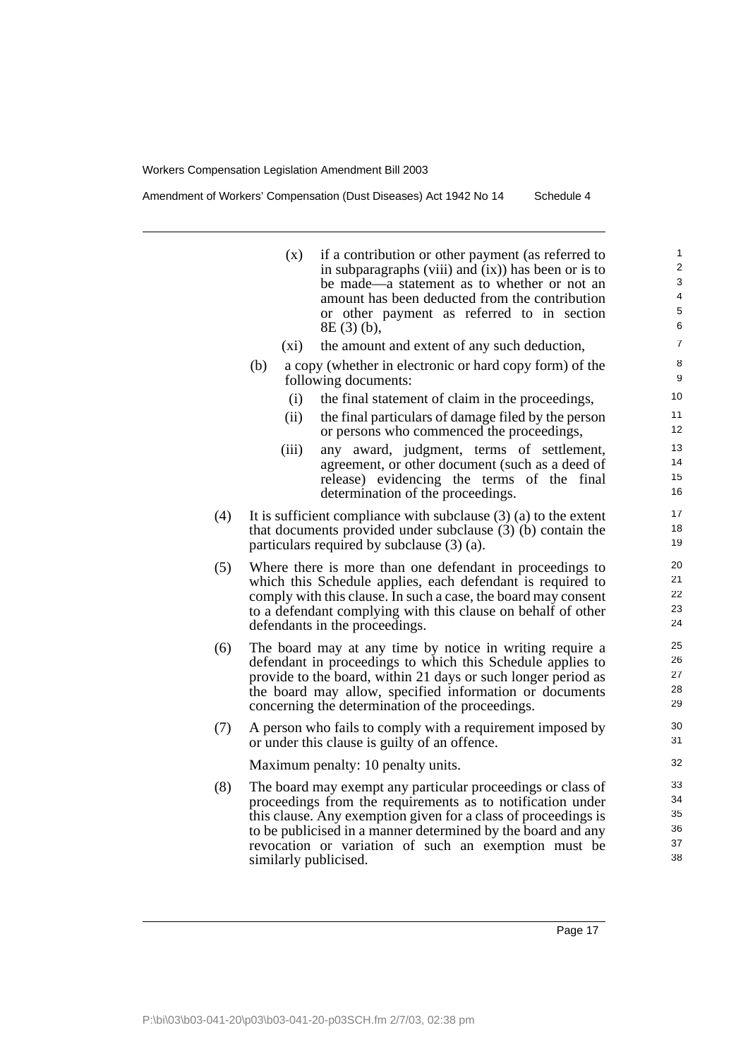Amendment of Workers' Compensation (Dust Diseases) Act 1942 No 14 Schedule 4

(x) if a contribution or other payment (as referred to in subparagraphs (viii) and (ix)) has been or is to be made—a statement as to whether or not an amount has been deducted from the contribution or other payment as referred to in section 8E (3) (b),

- (xi) the amount and extent of any such deduction,
- (b) a copy (whether in electronic or hard copy form) of the following documents:
	- (i) the final statement of claim in the proceedings,
	- (ii) the final particulars of damage filed by the person or persons who commenced the proceedings,
	- (iii) any award, judgment, terms of settlement, agreement, or other document (such as a deed of release) evidencing the terms of the final determination of the proceedings.
- (4) It is sufficient compliance with subclause  $(3)$  (a) to the extent that documents provided under subclause (3) (b) contain the particulars required by subclause (3) (a).
- (5) Where there is more than one defendant in proceedings to which this Schedule applies, each defendant is required to comply with this clause. In such a case, the board may consent to a defendant complying with this clause on behalf of other defendants in the proceedings.
- (6) The board may at any time by notice in writing require a defendant in proceedings to which this Schedule applies to provide to the board, within 21 days or such longer period as the board may allow, specified information or documents concerning the determination of the proceedings.
- (7) A person who fails to comply with a requirement imposed by or under this clause is guilty of an offence.

Maximum penalty: 10 penalty units.

(8) The board may exempt any particular proceedings or class of proceedings from the requirements as to notification under this clause. Any exemption given for a class of proceedings is to be publicised in a manner determined by the board and any revocation or variation of such an exemption must be similarly publicised.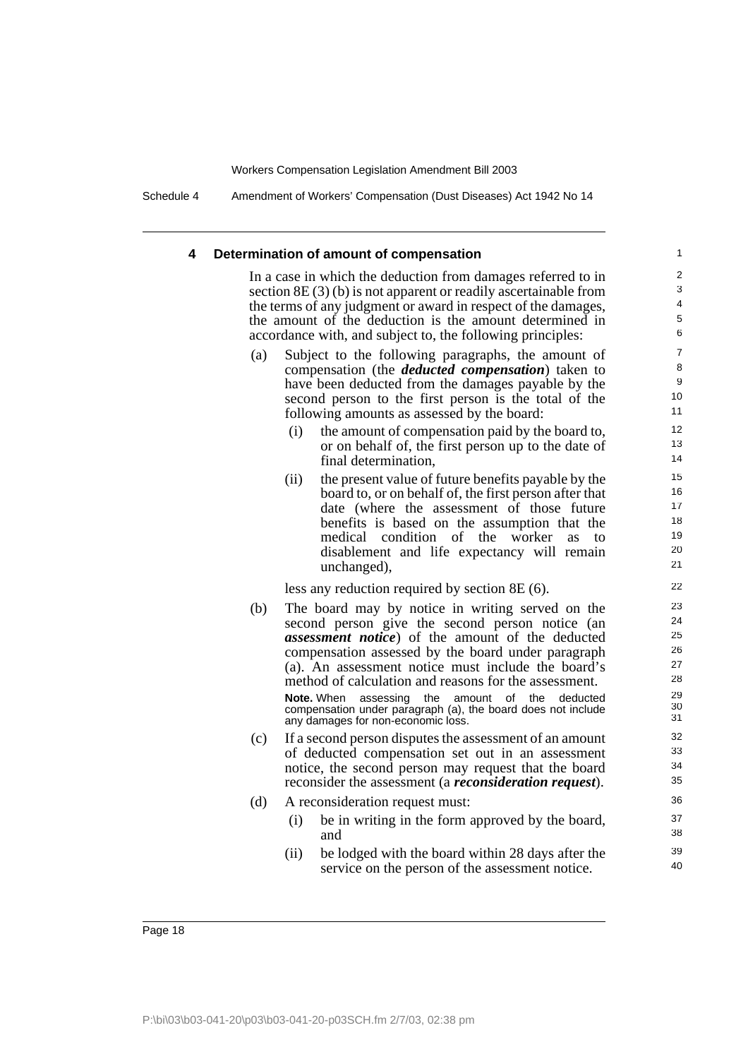Schedule 4 Amendment of Workers' Compensation (Dust Diseases) Act 1942 No 14

#### **4 Determination of amount of compensation**

In a case in which the deduction from damages referred to in section 8E (3) (b) is not apparent or readily ascertainable from the terms of any judgment or award in respect of the damages, the amount of the deduction is the amount determined in accordance with, and subject to, the following principles:

- (a) Subject to the following paragraphs, the amount of compensation (the *deducted compensation*) taken to have been deducted from the damages payable by the second person to the first person is the total of the following amounts as assessed by the board:
	- (i) the amount of compensation paid by the board to, or on behalf of, the first person up to the date of final determination,
	- (ii) the present value of future benefits payable by the board to, or on behalf of, the first person after that date (where the assessment of those future benefits is based on the assumption that the medical condition of the worker as to disablement and life expectancy will remain unchanged),

less any reduction required by section 8E (6).

(b) The board may by notice in writing served on the second person give the second person notice (an *assessment notice*) of the amount of the deducted compensation assessed by the board under paragraph (a). An assessment notice must include the board's method of calculation and reasons for the assessment.

**Note.** When assessing the amount of the deducted compensation under paragraph (a), the board does not include any damages for non-economic loss.

- (c) If a second person disputes the assessment of an amount of deducted compensation set out in an assessment notice, the second person may request that the board reconsider the assessment (a *reconsideration request*).
- (d) A reconsideration request must:
	- (i) be in writing in the form approved by the board, and
	- (ii) be lodged with the board within 28 days after the service on the person of the assessment notice.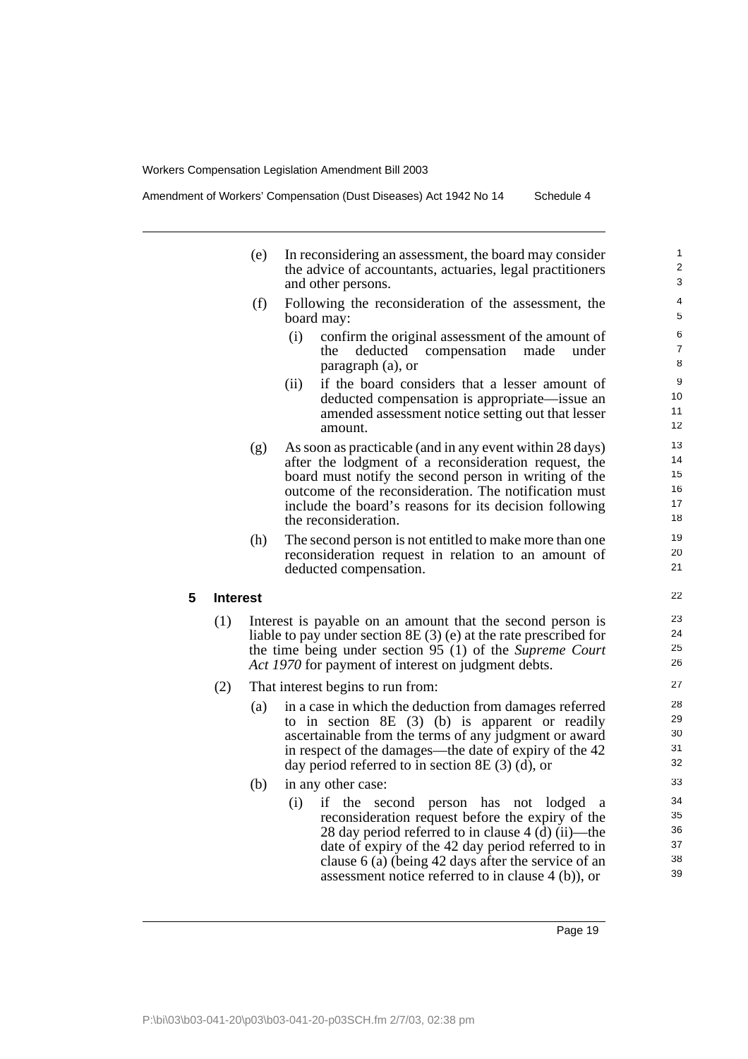Amendment of Workers' Compensation (Dust Diseases) Act 1942 No 14 Schedule 4

| (e) | In reconsidering an assessment, the board may consider    |  |  |  |  |  |
|-----|-----------------------------------------------------------|--|--|--|--|--|
|     | the advice of accountants, actuaries, legal practitioners |  |  |  |  |  |
|     | and other persons.                                        |  |  |  |  |  |
|     |                                                           |  |  |  |  |  |

- (f) Following the reconsideration of the assessment, the board may:
	- (i) confirm the original assessment of the amount of the deducted compensation made under paragraph (a), or
	- (ii) if the board considers that a lesser amount of deducted compensation is appropriate—issue an amended assessment notice setting out that lesser amount.
- (g) As soon as practicable (and in any event within 28 days) after the lodgment of a reconsideration request, the board must notify the second person in writing of the outcome of the reconsideration. The notification must include the board's reasons for its decision following the reconsideration.
- (h) The second person is not entitled to make more than one reconsideration request in relation to an amount of deducted compensation.

#### **5 Interest**

- (1) Interest is payable on an amount that the second person is liable to pay under section 8E (3) (e) at the rate prescribed for the time being under section 95 (1) of the *Supreme Court Act 1970* for payment of interest on judgment debts.
- (2) That interest begins to run from:
	- (a) in a case in which the deduction from damages referred to in section 8E (3) (b) is apparent or readily ascertainable from the terms of any judgment or award in respect of the damages—the date of expiry of the 42 day period referred to in section 8E (3) (d), or
	- (b) in any other case:
		- (i) if the second person has not lodged a reconsideration request before the expiry of the 28 day period referred to in clause 4 (d) (ii)—the date of expiry of the 42 day period referred to in clause 6 (a) (being 42 days after the service of an assessment notice referred to in clause 4 (b)), or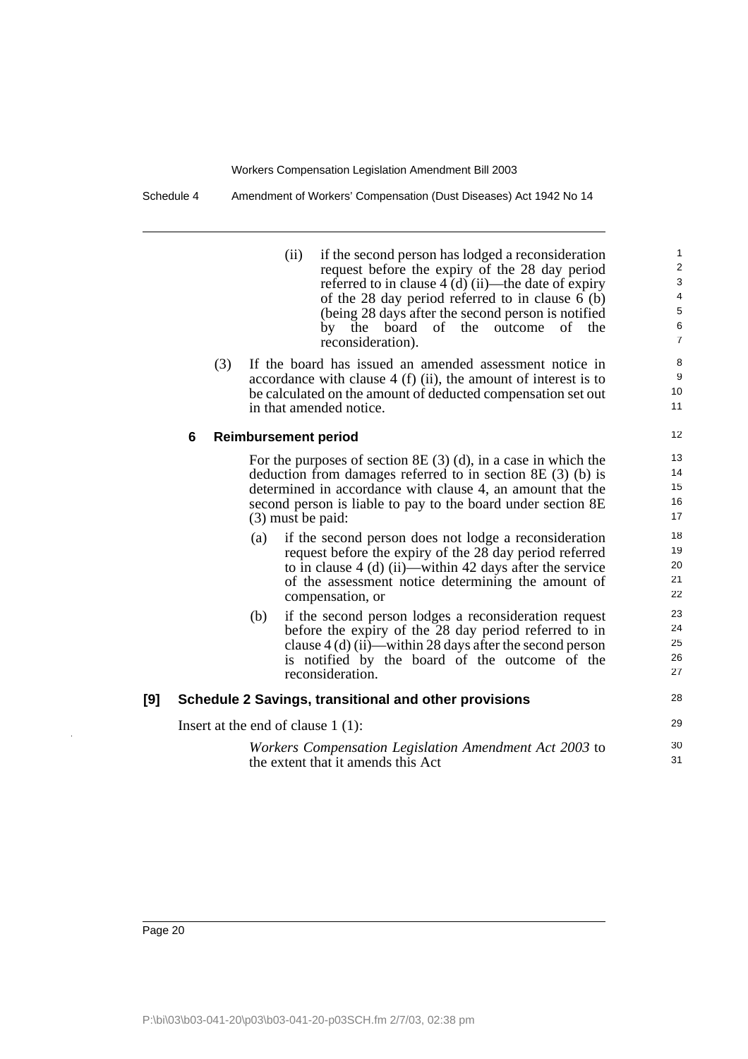Schedule 4 Amendment of Workers' Compensation (Dust Diseases) Act 1942 No 14

(ii) if the second person has lodged a reconsideration request before the expiry of the 28 day period referred to in clause 4 (d) (ii)—the date of expiry of the 28 day period referred to in clause 6 (b) (being 28 days after the second person is notified by the board of the outcome of the reconsideration).

29 30 31

(3) If the board has issued an amended assessment notice in accordance with clause 4 (f) (ii), the amount of interest is to be calculated on the amount of deducted compensation set out in that amended notice.

#### **6 Reimbursement period**

For the purposes of section 8E (3) (d), in a case in which the deduction from damages referred to in section 8E (3) (b) is determined in accordance with clause 4, an amount that the second person is liable to pay to the board under section 8E (3) must be paid:

- (a) if the second person does not lodge a reconsideration request before the expiry of the 28 day period referred to in clause 4 (d) (ii)—within 42 days after the service of the assessment notice determining the amount of compensation, or
- (b) if the second person lodges a reconsideration request before the expiry of the 28 day period referred to in clause 4 (d) (ii)—within 28 days after the second person is notified by the board of the outcome of the reconsideration.

#### **[9] Schedule 2 Savings, transitional and other provisions**

Insert at the end of clause 1 (1):

*Workers Compensation Legislation Amendment Act 2003* to the extent that it amends this Act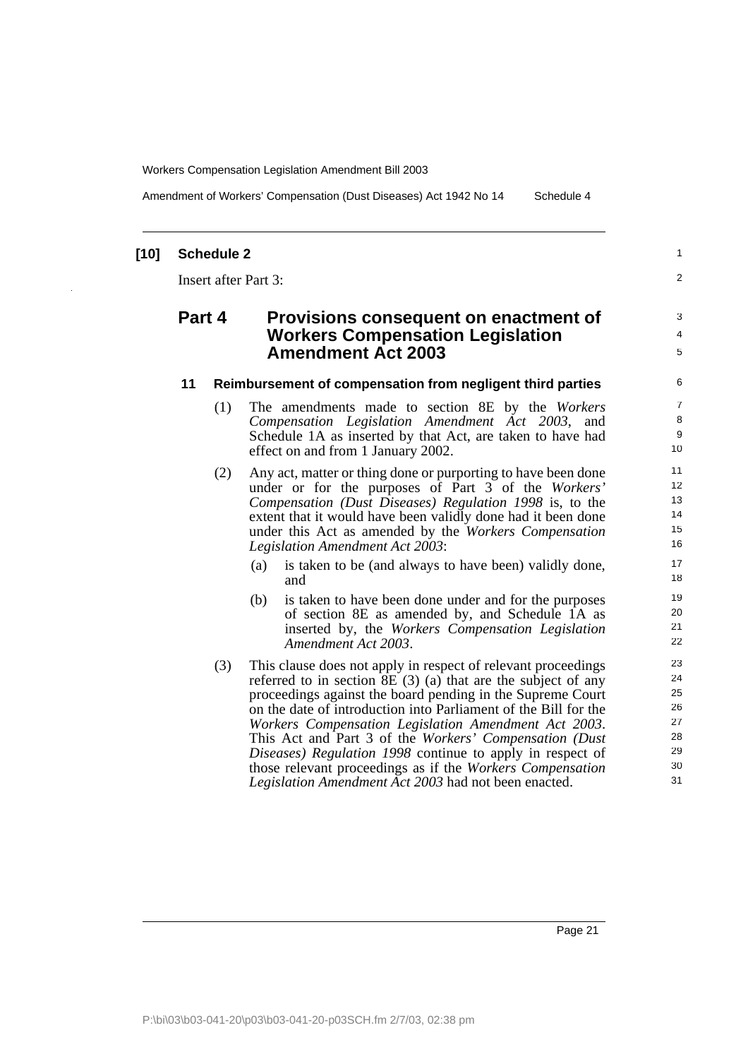Amendment of Workers' Compensation (Dust Diseases) Act 1942 No 14 Schedule 4

### **[10] Schedule 2**

Insert after Part 3:

## **Part 4 Provisions consequent on enactment of Workers Compensation Legislation Amendment Act 2003**

#### **11 Reimbursement of compensation from negligent third parties**

- (1) The amendments made to section 8E by the *Workers Compensation Legislation Amendment Act 2003*, and Schedule 1A as inserted by that Act, are taken to have had effect on and from 1 January 2002.
- (2) Any act, matter or thing done or purporting to have been done under or for the purposes of Part 3 of the *Workers' Compensation (Dust Diseases) Regulation 1998* is, to the extent that it would have been validly done had it been done under this Act as amended by the *Workers Compensation Legislation Amendment Act 2003*:
	- (a) is taken to be (and always to have been) validly done, and
	- (b) is taken to have been done under and for the purposes of section 8E as amended by, and Schedule 1A as inserted by, the *Workers Compensation Legislation Amendment Act 2003*.
- (3) This clause does not apply in respect of relevant proceedings referred to in section 8E (3) (a) that are the subject of any proceedings against the board pending in the Supreme Court on the date of introduction into Parliament of the Bill for the *Workers Compensation Legislation Amendment Act 2003*. This Act and Part 3 of the *Workers' Compensation (Dust Diseases) Regulation 1998* continue to apply in respect of those relevant proceedings as if the *Workers Compensation Legislation Amendment Act 2003* had not been enacted.

1  $\overline{2}$ 

3 4 5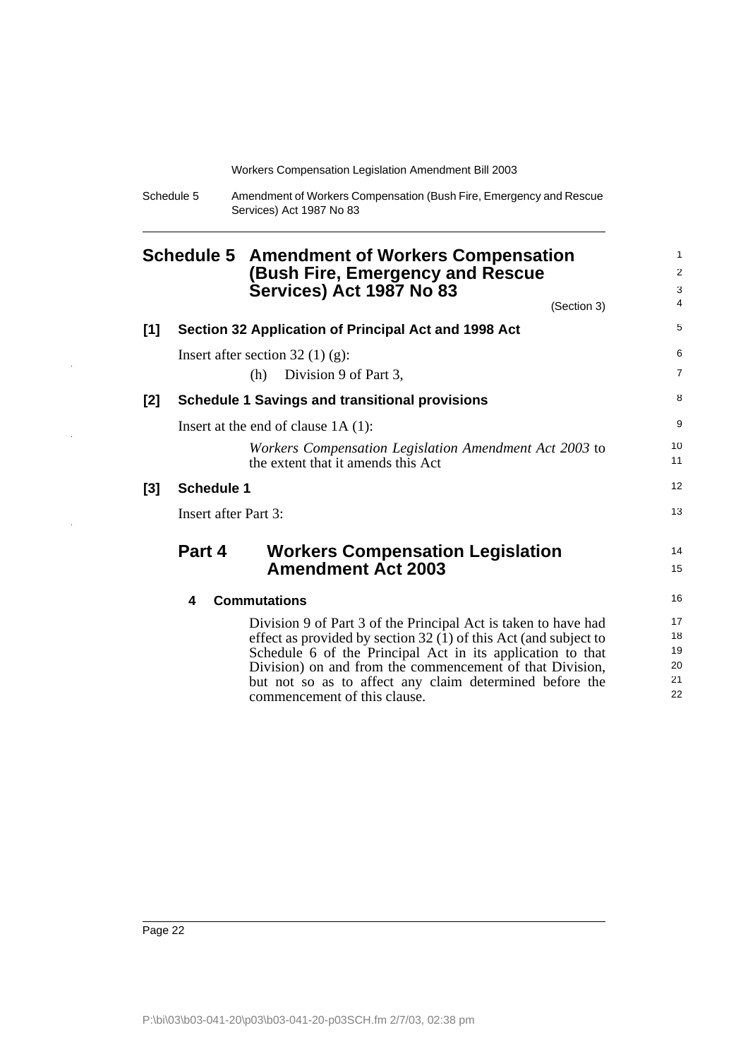| Schedule 5 | Amendment of Workers Compensation (Bush Fire, Emergency and Rescue |
|------------|--------------------------------------------------------------------|
|            | Services) Act 1987 No 83                                           |

<span id="page-23-0"></span>

|       |                             | <b>Schedule 5 Amendment of Workers Compensation</b>                                          |                |
|-------|-----------------------------|----------------------------------------------------------------------------------------------|----------------|
|       |                             | (Bush Fire, Emergency and Rescue                                                             | 2              |
|       |                             | Services) Act 1987 No 83                                                                     | 3              |
|       |                             | (Section 3)                                                                                  | 4              |
| [1]   |                             | Section 32 Application of Principal Act and 1998 Act                                         | 5              |
|       |                             | Insert after section $32(1)(g)$ :                                                            | 6              |
|       |                             | Division 9 of Part 3,<br>(h)                                                                 | $\overline{7}$ |
| [2]   |                             | <b>Schedule 1 Savings and transitional provisions</b>                                        | 8              |
|       |                             | Insert at the end of clause $1A(1)$ :                                                        | 9              |
|       |                             | Workers Compensation Legislation Amendment Act 2003 to<br>the extent that it amends this Act | 10<br>11       |
| $[3]$ | <b>Schedule 1</b>           |                                                                                              | 12             |
|       | <b>Insert after Part 3:</b> |                                                                                              | 13             |
|       | Part 4                      | <b>Workers Compensation Legislation</b>                                                      | 14             |
|       |                             | <b>Amendment Act 2003</b>                                                                    | 15             |
|       | 4                           | <b>Commutations</b>                                                                          | 16             |
|       |                             | Division 9 of Part 3 of the Principal Act is taken to have had                               | 17             |
|       |                             | effect as provided by section 32 (1) of this Act (and subject to                             | 18             |
|       |                             | Schedule 6 of the Principal Act in its application to that                                   | 19             |
|       |                             | Division) on and from the commencement of that Division,                                     | 20             |
|       |                             | but not so as to affect any claim determined before the<br>commencement of this clause.      | 21<br>22       |

 $\hat{\mathcal{A}}$ 

 $\hat{\mathcal{A}}$ 

 $\frac{1}{2}$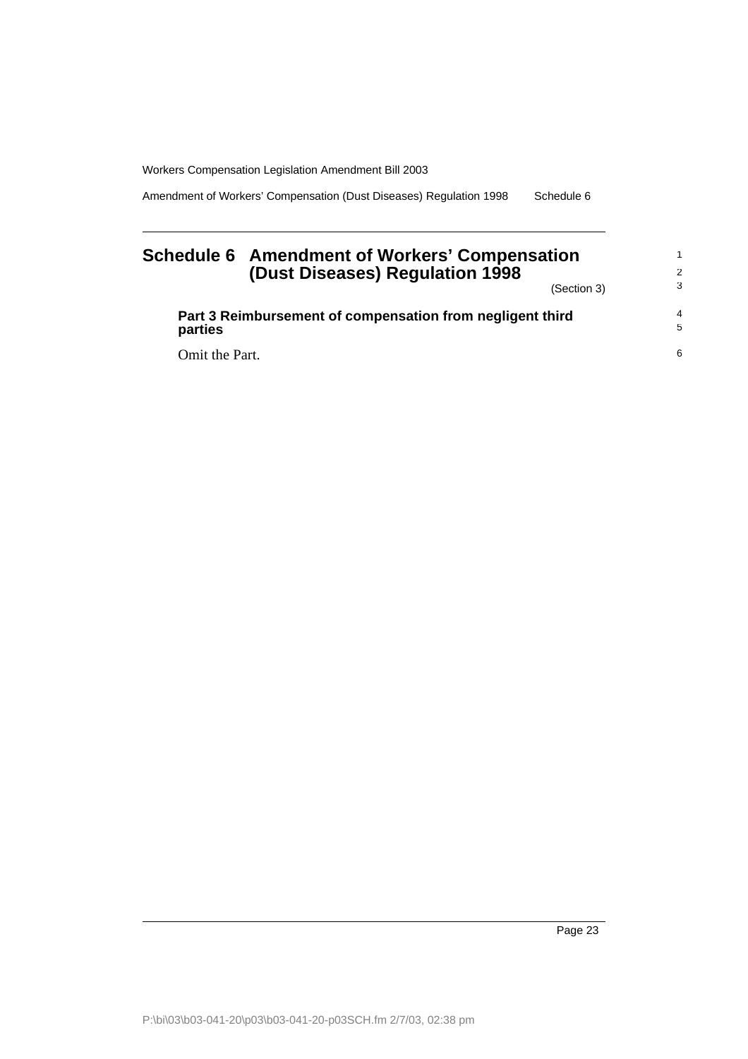Amendment of Workers' Compensation (Dust Diseases) Regulation 1998 Schedule 6

## <span id="page-24-0"></span>**Schedule 6 Amendment of Workers' Compensation (Dust Diseases) Regulation 1998**

(Section 3)

1 2 3

| Part 3 Reimbursement of compensation from negligent third<br>parties | 4<br>-5 |
|----------------------------------------------------------------------|---------|
| Omit the Part.                                                       | 6       |